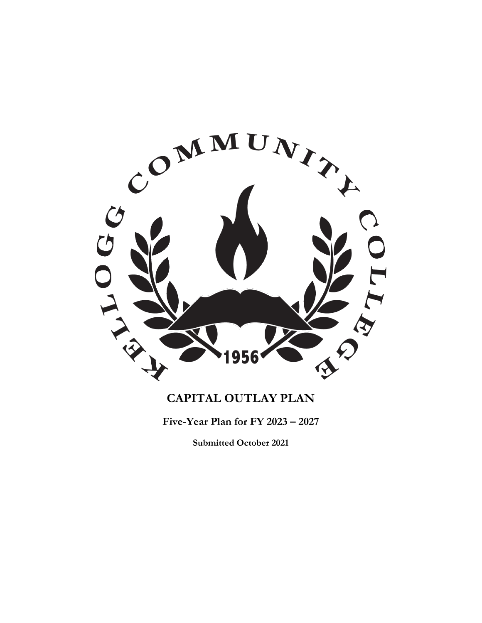

# **CAPITAL OUTLAY PLAN**

**Five-Year Plan for FY 2023 – 2027**

**Submitted October 2021**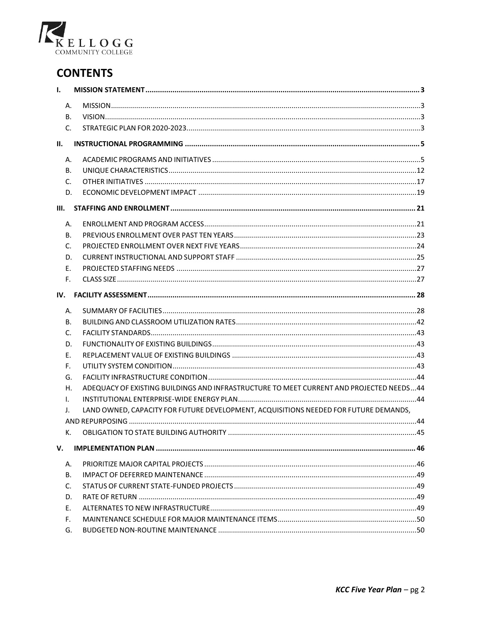

# **CONTENTS**

| $\mathbf{I}$ .            |                                                                                         |  |
|---------------------------|-----------------------------------------------------------------------------------------|--|
| А.                        |                                                                                         |  |
| <b>B.</b>                 |                                                                                         |  |
| C.                        |                                                                                         |  |
| II.                       |                                                                                         |  |
| А.                        |                                                                                         |  |
| В.                        |                                                                                         |  |
| C.                        |                                                                                         |  |
| D.                        |                                                                                         |  |
| III.                      |                                                                                         |  |
| А.                        |                                                                                         |  |
| В.                        |                                                                                         |  |
| C.                        |                                                                                         |  |
| D.                        |                                                                                         |  |
| Ε.                        |                                                                                         |  |
| F.                        |                                                                                         |  |
| IV.                       |                                                                                         |  |
| А.                        |                                                                                         |  |
| В.                        |                                                                                         |  |
| C.                        |                                                                                         |  |
| D.                        |                                                                                         |  |
| Ε.                        |                                                                                         |  |
| F.                        |                                                                                         |  |
| G.                        |                                                                                         |  |
| Н.                        | ADEQUACY OF EXISTING BUILDINGS AND INFRASTRUCTURE TO MEET CURRENT AND PROJECTED NEEDS44 |  |
| L.                        |                                                                                         |  |
| $\mathbf{J}_{\mathbf{r}}$ | LAND OWNED, CAPACITY FOR FUTURE DEVELOPMENT, ACQUISITIONS NEEDED FOR FUTURE DEMANDS,    |  |
|                           |                                                                                         |  |
| к.                        |                                                                                         |  |
| v.                        |                                                                                         |  |
| А.                        |                                                                                         |  |
| В.                        |                                                                                         |  |
| C.                        |                                                                                         |  |
| D.                        |                                                                                         |  |
| Ε.                        |                                                                                         |  |
| F.                        |                                                                                         |  |
| G.                        |                                                                                         |  |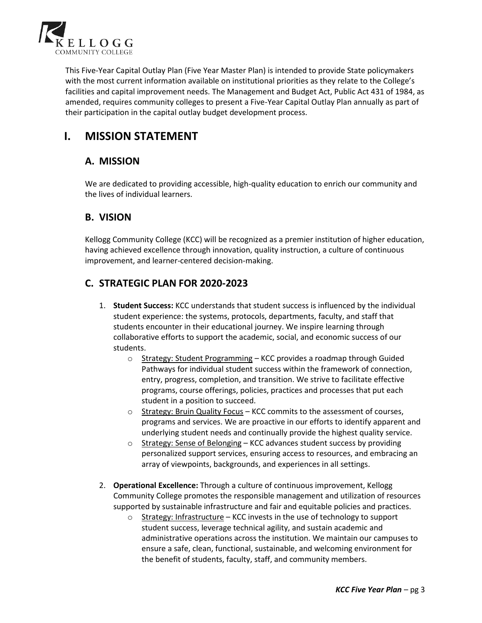

This Five-Year Capital Outlay Plan (Five Year Master Plan) is intended to provide State policymakers with the most current information available on institutional priorities as they relate to the College's facilities and capital improvement needs. The Management and Budget Act, Public Act 431 of 1984, as amended, requires community colleges to present a Five-Year Capital Outlay Plan annually as part of their participation in the capital outlay budget development process.

# **I. MISSION STATEMENT**

## **A. MISSION**

We are dedicated to providing accessible, high-quality education to enrich our community and the lives of individual learners.

## **B. VISION**

Kellogg Community College (KCC) will be recognized as a premier institution of higher education, having achieved excellence through innovation, quality instruction, a culture of continuous improvement, and learner-centered decision-making.

## **C. STRATEGIC PLAN FOR 2020-2023**

- 1. **Student Success:** KCC understands that student success is influenced by the individual student experience: the systems, protocols, departments, faculty, and staff that students encounter in their educational journey. We inspire learning through collaborative efforts to support the academic, social, and economic success of our students.
	- o Strategy: Student Programming KCC provides a roadmap through Guided Pathways for individual student success within the framework of connection, entry, progress, completion, and transition. We strive to facilitate effective programs, course offerings, policies, practices and processes that put each student in a position to succeed.
	- o Strategy: Bruin Quality Focus KCC commits to the assessment of courses, programs and services. We are proactive in our efforts to identify apparent and underlying student needs and continually provide the highest quality service.
	- o Strategy: Sense of Belonging KCC advances student success by providing personalized support services, ensuring access to resources, and embracing an array of viewpoints, backgrounds, and experiences in all settings.
- 2. **Operational Excellence:** Through a culture of continuous improvement, Kellogg Community College promotes the responsible management and utilization of resources supported by sustainable infrastructure and fair and equitable policies and practices.
	- $\circ$  Strategy: Infrastructure KCC invests in the use of technology to support student success, leverage technical agility, and sustain academic and administrative operations across the institution. We maintain our campuses to ensure a safe, clean, functional, sustainable, and welcoming environment for the benefit of students, faculty, staff, and community members.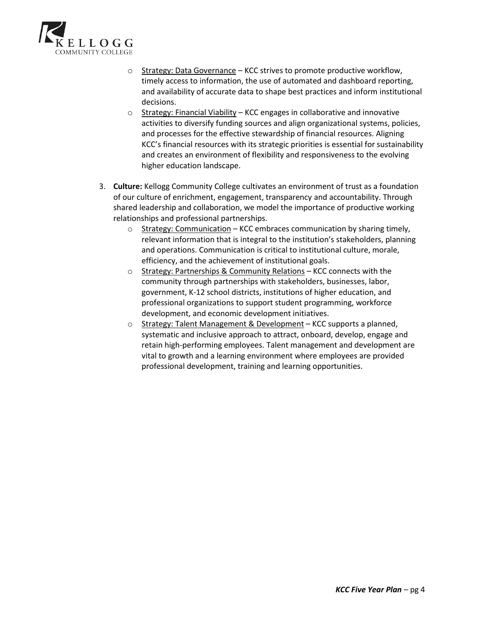

- $\circ$  Strategy: Data Governance KCC strives to promote productive workflow, timely access to information, the use of automated and dashboard reporting, and availability of accurate data to shape best practices and inform institutional decisions.
- o Strategy: Financial Viability KCC engages in collaborative and innovative activities to diversify funding sources and align organizational systems, policies, and processes for the effective stewardship of financial resources. Aligning KCC's financial resources with its strategic priorities is essential for sustainability and creates an environment of flexibility and responsiveness to the evolving higher education landscape.
- 3. **Culture:** Kellogg Community College cultivates an environment of trust as a foundation of our culture of enrichment, engagement, transparency and accountability. Through shared leadership and collaboration, we model the importance of productive working relationships and professional partnerships.
	- o Strategy: Communication KCC embraces communication by sharing timely, relevant information that is integral to the institution's stakeholders, planning and operations. Communication is critical to institutional culture, morale, efficiency, and the achievement of institutional goals.
	- o Strategy: Partnerships & Community Relations KCC connects with the community through partnerships with stakeholders, businesses, labor, government, K-12 school districts, institutions of higher education, and professional organizations to support student programming, workforce development, and economic development initiatives.
	- o Strategy: Talent Management & Development KCC supports a planned, systematic and inclusive approach to attract, onboard, develop, engage and retain high-performing employees. Talent management and development are vital to growth and a learning environment where employees are provided professional development, training and learning opportunities.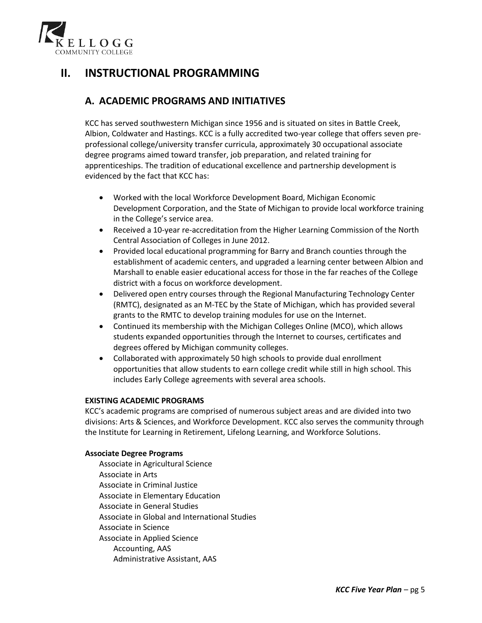

# **II. INSTRUCTIONAL PROGRAMMING**

## **A. ACADEMIC PROGRAMS AND INITIATIVES**

KCC has served southwestern Michigan since 1956 and is situated on sites in Battle Creek, Albion, Coldwater and Hastings. KCC is a fully accredited two-year college that offers seven preprofessional college/university transfer curricula, approximately 30 occupational associate degree programs aimed toward transfer, job preparation, and related training for apprenticeships. The tradition of educational excellence and partnership development is evidenced by the fact that KCC has:

- Worked with the local Workforce Development Board, Michigan Economic Development Corporation, and the State of Michigan to provide local workforce training in the College's service area.
- Received a 10-year re-accreditation from the Higher Learning Commission of the North Central Association of Colleges in June 2012.
- Provided local educational programming for Barry and Branch counties through the establishment of academic centers, and upgraded a learning center between Albion and Marshall to enable easier educational access for those in the far reaches of the College district with a focus on workforce development.
- Delivered open entry courses through the Regional Manufacturing Technology Center (RMTC), designated as an M-TEC by the State of Michigan, which has provided several grants to the RMTC to develop training modules for use on the Internet.
- Continued its membership with the Michigan Colleges Online (MCO), which allows students expanded opportunities through the Internet to courses, certificates and degrees offered by Michigan community colleges.
- Collaborated with approximately 50 high schools to provide dual enrollment opportunities that allow students to earn college credit while still in high school. This includes Early College agreements with several area schools.

### **EXISTING ACADEMIC PROGRAMS**

KCC's academic programs are comprised of numerous subject areas and are divided into two divisions: Arts & Sciences, and Workforce Development. KCC also serves the community through the Institute for Learning in Retirement, Lifelong Learning, and Workforce Solutions.

#### **Associate Degree Programs**

Associate in Agricultural Science Associate in Arts Associate in Criminal Justice Associate in Elementary Education Associate in General Studies Associate in Global and International Studies Associate in Science Associate in Applied Science Accounting, AAS Administrative Assistant, AAS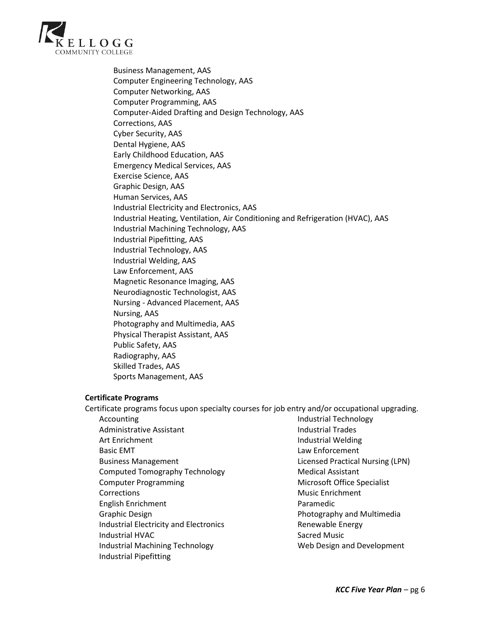

Business Management, AAS Computer Engineering Technology, AAS Computer Networking, AAS Computer Programming, AAS Computer-Aided Drafting and Design Technology, AAS Corrections, AAS Cyber Security, AAS Dental Hygiene, AAS Early Childhood Education, AAS Emergency Medical Services, AAS Exercise Science, AAS Graphic Design, AAS Human Services, AAS Industrial Electricity and Electronics, AAS Industrial Heating, Ventilation, Air Conditioning and Refrigeration (HVAC), AAS Industrial Machining Technology, AAS Industrial Pipefitting, AAS Industrial Technology, AAS Industrial Welding, AAS Law Enforcement, AAS Magnetic Resonance Imaging, AAS Neurodiagnostic Technologist, AAS Nursing - Advanced Placement, AAS Nursing, AAS Photography and Multimedia, AAS Physical Therapist Assistant, AAS Public Safety, AAS Radiography, AAS Skilled Trades, AAS Sports Management, AAS

#### **Certificate Programs**

Certificate programs focus upon specialty courses for job entry and/or occupational upgrading. Accounting Administrative Assistant Art Enrichment Basic EMT Business Management Computed Tomography Technology Computer Programming **Corrections** English Enrichment Graphic Design Industrial Electricity and Electronics Industrial HVAC Industrial Machining Technology Industrial Pipefitting Industrial Technology Industrial Trades Industrial Welding Law Enforcement Licensed Practical Nursing (LPN) Medical Assistant Microsoft Office Specialist Music Enrichment Paramedic Photography and Multimedia Renewable Energy Sacred Music Web Design and Development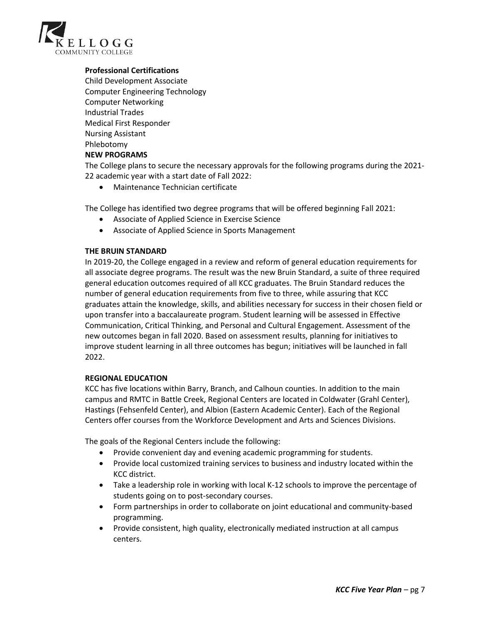

### **Professional Certifications**

Child Development Associate Computer Engineering Technology Computer Networking Industrial Trades Medical First Responder Nursing Assistant Phlebotomy **NEW PROGRAMS**

The College plans to secure the necessary approvals for the following programs during the 2021- 22 academic year with a start date of Fall 2022:

• Maintenance Technician certificate

The College has identified two degree programs that will be offered beginning Fall 2021:

- Associate of Applied Science in Exercise Science
- Associate of Applied Science in Sports Management

#### **THE BRUIN STANDARD**

In 2019-20, the College engaged in a review and reform of general education requirements for all associate degree programs. The result was the new Bruin Standard, a suite of three required general education outcomes required of all KCC graduates. The Bruin Standard reduces the number of general education requirements from five to three, while assuring that KCC graduates attain the knowledge, skills, and abilities necessary for success in their chosen field or upon transfer into a baccalaureate program. Student learning will be assessed in Effective Communication, Critical Thinking, and Personal and Cultural Engagement. Assessment of the new outcomes began in fall 2020. Based on assessment results, planning for initiatives to improve student learning in all three outcomes has begun; initiatives will be launched in fall 2022.

#### **REGIONAL EDUCATION**

KCC has five locations within Barry, Branch, and Calhoun counties. In addition to the main campus and RMTC in Battle Creek, Regional Centers are located in Coldwater (Grahl Center), Hastings (Fehsenfeld Center), and Albion (Eastern Academic Center). Each of the Regional Centers offer courses from the Workforce Development and Arts and Sciences Divisions.

The goals of the Regional Centers include the following:

- Provide convenient day and evening academic programming for students.
- Provide local customized training services to business and industry located within the KCC district.
- Take a leadership role in working with local K-12 schools to improve the percentage of students going on to post-secondary courses.
- Form partnerships in order to collaborate on joint educational and community-based programming.
- Provide consistent, high quality, electronically mediated instruction at all campus centers.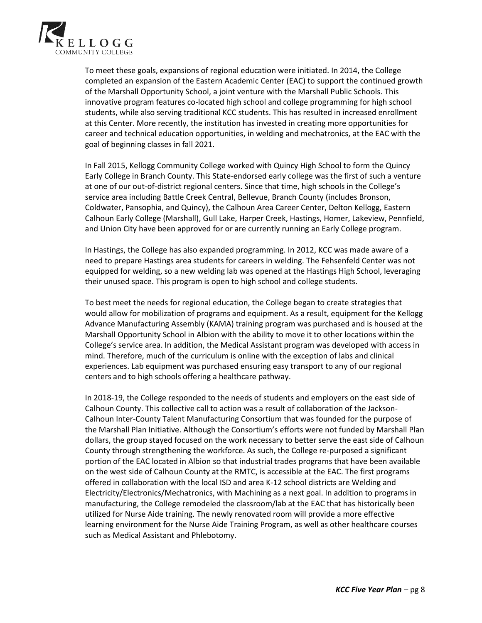

To meet these goals, expansions of regional education were initiated. In 2014, the College completed an expansion of the Eastern Academic Center (EAC) to support the continued growth of the Marshall Opportunity School, a joint venture with the Marshall Public Schools. This innovative program features co-located high school and college programming for high school students, while also serving traditional KCC students. This has resulted in increased enrollment at this Center. More recently, the institution has invested in creating more opportunities for career and technical education opportunities, in welding and mechatronics, at the EAC with the goal of beginning classes in fall 2021.

In Fall 2015, Kellogg Community College worked with Quincy High School to form the Quincy Early College in Branch County. This State-endorsed early college was the first of such a venture at one of our out-of-district regional centers. Since that time, high schools in the College's service area including Battle Creek Central, Bellevue, Branch County (includes Bronson, Coldwater, Pansophia, and Quincy), the Calhoun Area Career Center, Delton Kellogg, Eastern Calhoun Early College (Marshall), Gull Lake, Harper Creek, Hastings, Homer, Lakeview, Pennfield, and Union City have been approved for or are currently running an Early College program.

In Hastings, the College has also expanded programming. In 2012, KCC was made aware of a need to prepare Hastings area students for careers in welding. The Fehsenfeld Center was not equipped for welding, so a new welding lab was opened at the Hastings High School, leveraging their unused space. This program is open to high school and college students.

To best meet the needs for regional education, the College began to create strategies that would allow for mobilization of programs and equipment. As a result, equipment for the Kellogg Advance Manufacturing Assembly (KAMA) training program was purchased and is housed at the Marshall Opportunity School in Albion with the ability to move it to other locations within the College's service area. In addition, the Medical Assistant program was developed with access in mind. Therefore, much of the curriculum is online with the exception of labs and clinical experiences. Lab equipment was purchased ensuring easy transport to any of our regional centers and to high schools offering a healthcare pathway.

In 2018-19, the College responded to the needs of students and employers on the east side of Calhoun County. This collective call to action was a result of collaboration of the Jackson-Calhoun Inter-County Talent Manufacturing Consortium that was founded for the purpose of the Marshall Plan Initiative. Although the Consortium's efforts were not funded by Marshall Plan dollars, the group stayed focused on the work necessary to better serve the east side of Calhoun County through strengthening the workforce. As such, the College re-purposed a significant portion of the EAC located in Albion so that industrial trades programs that have been available on the west side of Calhoun County at the RMTC, is accessible at the EAC. The first programs offered in collaboration with the local ISD and area K-12 school districts are Welding and Electricity/Electronics/Mechatronics, with Machining as a next goal. In addition to programs in manufacturing, the College remodeled the classroom/lab at the EAC that has historically been utilized for Nurse Aide training. The newly renovated room will provide a more effective learning environment for the Nurse Aide Training Program, as well as other healthcare courses such as Medical Assistant and Phlebotomy.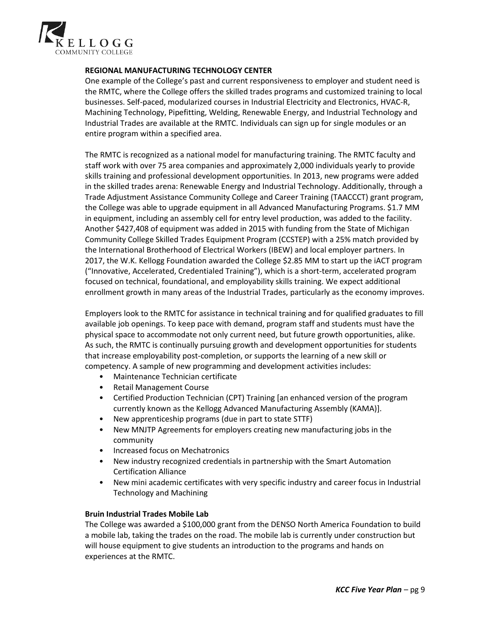

### **REGIONAL MANUFACTURING TECHNOLOGY CENTER**

One example of the College's past and current responsiveness to employer and student need is the RMTC, where the College offers the skilled trades programs and customized training to local businesses. Self-paced, modularized courses in Industrial Electricity and Electronics, HVAC-R, Machining Technology, Pipefitting, Welding, Renewable Energy, and Industrial Technology and Industrial Trades are available at the RMTC. Individuals can sign up for single modules or an entire program within a specified area.

The RMTC is recognized as a national model for manufacturing training. The RMTC faculty and staff work with over 75 area companies and approximately 2,000 individuals yearly to provide skills training and professional development opportunities. In 2013, new programs were added in the skilled trades arena: Renewable Energy and Industrial Technology. Additionally, through a Trade Adjustment Assistance Community College and Career Training (TAACCCT) grant program, the College was able to upgrade equipment in all Advanced Manufacturing Programs. \$1.7 MM in equipment, including an assembly cell for entry level production, was added to the facility. Another \$427,408 of equipment was added in 2015 with funding from the State of Michigan Community College Skilled Trades Equipment Program (CCSTEP) with a 25% match provided by the International Brotherhood of Electrical Workers (IBEW) and local employer partners. In 2017, the W.K. Kellogg Foundation awarded the College \$2.85 MM to start up the iACT program ("Innovative, Accelerated, Credentialed Training"), which is a short-term, accelerated program focused on technical, foundational, and employability skills training. We expect additional enrollment growth in many areas of the Industrial Trades, particularly as the economy improves.

Employers look to the RMTC for assistance in technical training and for qualified graduates to fill available job openings. To keep pace with demand, program staff and students must have the physical space to accommodate not only current need, but future growth opportunities, alike. As such, the RMTC is continually pursuing growth and development opportunities for students that increase employability post-completion, or supports the learning of a new skill or competency. A sample of new programming and development activities includes:

- Maintenance Technician certificate
- Retail Management Course
- Certified Production Technician (CPT) Training [an enhanced version of the program currently known as the Kellogg Advanced Manufacturing Assembly (KAMA)].
- New apprenticeship programs (due in part to state STTF)
- New MNJTP Agreements for employers creating new manufacturing jobs in the community
- Increased focus on Mechatronics
- New industry recognized credentials in partnership with the Smart Automation Certification Alliance
- New mini academic certificates with very specific industry and career focus in Industrial Technology and Machining

### **Bruin Industrial Trades Mobile Lab**

The College was awarded a \$100,000 grant from the DENSO North America Foundation to build a mobile lab, taking the trades on the road. The mobile lab is currently under construction but will house equipment to give students an introduction to the programs and hands on experiences at the RMTC.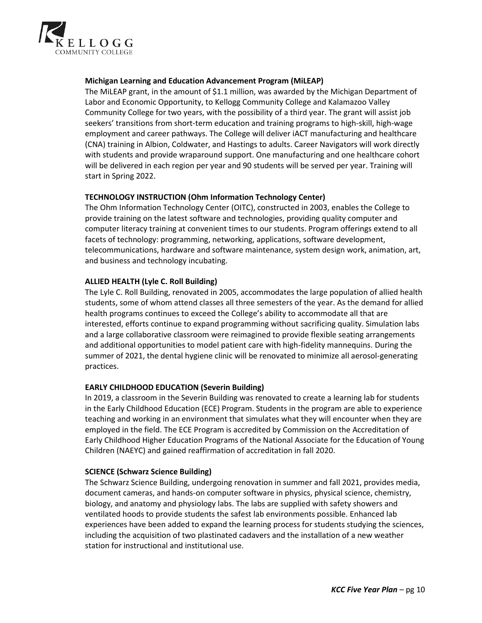

### **Michigan Learning and Education Advancement Program (MiLEAP)**

The MiLEAP grant, in the amount of \$1.1 million, was awarded by the Michigan Department of Labor and Economic Opportunity, to Kellogg Community College and Kalamazoo Valley Community College for two years, with the possibility of a third year. The grant will assist job seekers' transitions from short-term education and training programs to high-skill, high-wage employment and career pathways. The College will deliver iACT manufacturing and healthcare (CNA) training in Albion, Coldwater, and Hastings to adults. Career Navigators will work directly with students and provide wraparound support. One manufacturing and one healthcare cohort will be delivered in each region per year and 90 students will be served per year. Training will start in Spring 2022.

#### **TECHNOLOGY INSTRUCTION (Ohm Information Technology Center)**

The Ohm Information Technology Center (OITC), constructed in 2003, enables the College to provide training on the latest software and technologies, providing quality computer and computer literacy training at convenient times to our students. Program offerings extend to all facets of technology: programming, networking, applications, software development, telecommunications, hardware and software maintenance, system design work, animation, art, and business and technology incubating.

#### **ALLIED HEALTH (Lyle C. Roll Building)**

The Lyle C. Roll Building, renovated in 2005, accommodates the large population of allied health students, some of whom attend classes all three semesters of the year. As the demand for allied health programs continues to exceed the College's ability to accommodate all that are interested, efforts continue to expand programming without sacrificing quality. Simulation labs and a large collaborative classroom were reimagined to provide flexible seating arrangements and additional opportunities to model patient care with high-fidelity mannequins. During the summer of 2021, the dental hygiene clinic will be renovated to minimize all aerosol-generating practices.

#### **EARLY CHILDHOOD EDUCATION (Severin Building)**

In 2019, a classroom in the Severin Building was renovated to create a learning lab for students in the Early Childhood Education (ECE) Program. Students in the program are able to experience teaching and working in an environment that simulates what they will encounter when they are employed in the field. The ECE Program is accredited by Commission on the Accreditation of Early Childhood Higher Education Programs of the National Associate for the Education of Young Children (NAEYC) and gained reaffirmation of accreditation in fall 2020.

#### **SCIENCE (Schwarz Science Building)**

The Schwarz Science Building, undergoing renovation in summer and fall 2021, provides media, document cameras, and hands-on computer software in physics, physical science, chemistry, biology, and anatomy and physiology labs. The labs are supplied with safety showers and ventilated hoods to provide students the safest lab environments possible. Enhanced lab experiences have been added to expand the learning process for students studying the sciences, including the acquisition of two plastinated cadavers and the installation of a new weather station for instructional and institutional use.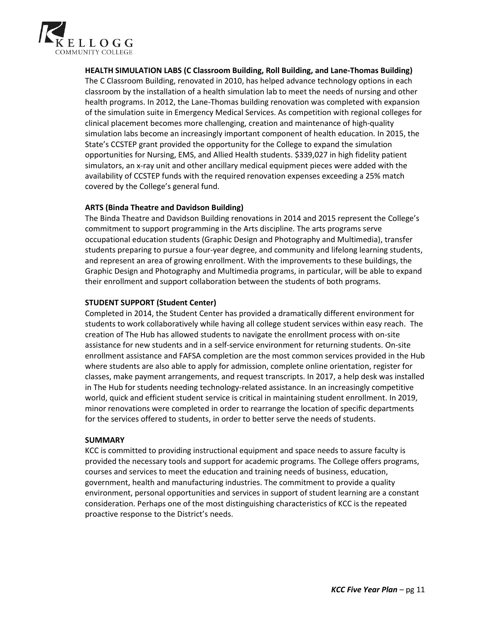

**HEALTH SIMULATION LABS (C Classroom Building, Roll Building, and Lane-Thomas Building)** The C Classroom Building, renovated in 2010, has helped advance technology options in each classroom by the installation of a health simulation lab to meet the needs of nursing and other health programs. In 2012, the Lane-Thomas building renovation was completed with expansion of the simulation suite in Emergency Medical Services. As competition with regional colleges for clinical placement becomes more challenging, creation and maintenance of high-quality simulation labs become an increasingly important component of health education. In 2015, the State's CCSTEP grant provided the opportunity for the College to expand the simulation opportunities for Nursing, EMS, and Allied Health students. \$339,027 in high fidelity patient simulators, an x-ray unit and other ancillary medical equipment pieces were added with the availability of CCSTEP funds with the required renovation expenses exceeding a 25% match covered by the College's general fund.

### **ARTS (Binda Theatre and Davidson Building)**

The Binda Theatre and Davidson Building renovations in 2014 and 2015 represent the College's commitment to support programming in the Arts discipline. The arts programs serve occupational education students (Graphic Design and Photography and Multimedia), transfer students preparing to pursue a four-year degree, and community and lifelong learning students, and represent an area of growing enrollment. With the improvements to these buildings, the Graphic Design and Photography and Multimedia programs, in particular, will be able to expand their enrollment and support collaboration between the students of both programs.

#### **STUDENT SUPPORT (Student Center)**

Completed in 2014, the Student Center has provided a dramatically different environment for students to work collaboratively while having all college student services within easy reach. The creation of The Hub has allowed students to navigate the enrollment process with on-site assistance for new students and in a self-service environment for returning students. On-site enrollment assistance and FAFSA completion are the most common services provided in the Hub where students are also able to apply for admission, complete online orientation, register for classes, make payment arrangements, and request transcripts. In 2017, a help desk was installed in The Hub for students needing technology-related assistance. In an increasingly competitive world, quick and efficient student service is critical in maintaining student enrollment. In 2019, minor renovations were completed in order to rearrange the location of specific departments for the services offered to students, in order to better serve the needs of students.

#### **SUMMARY**

KCC is committed to providing instructional equipment and space needs to assure faculty is provided the necessary tools and support for academic programs. The College offers programs, courses and services to meet the education and training needs of business, education, government, health and manufacturing industries. The commitment to provide a quality environment, personal opportunities and services in support of student learning are a constant consideration. Perhaps one of the most distinguishing characteristics of KCC is the repeated proactive response to the District's needs.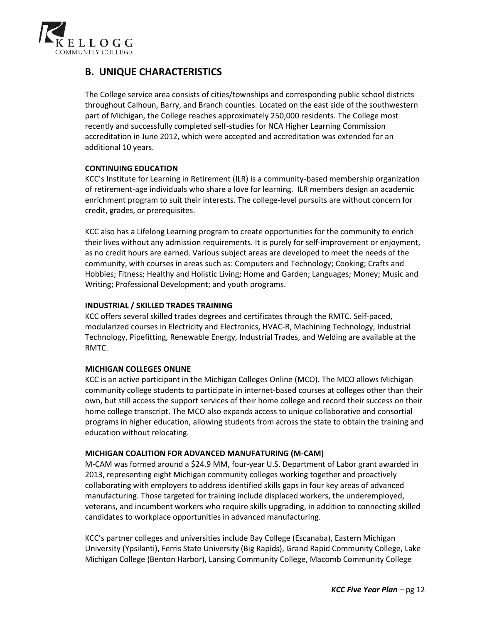

## **B. UNIQUE CHARACTERISTICS**

The College service area consists of cities/townships and corresponding public school districts throughout Calhoun, Barry, and Branch counties. Located on the east side of the southwestern part of Michigan, the College reaches approximately 250,000 residents. The College most recently and successfully completed self-studies for NCA Higher Learning Commission accreditation in June 2012, which were accepted and accreditation was extended for an additional 10 years.

## **CONTINUING EDUCATION**

KCC's Institute for Learning in Retirement (ILR) is a community-based membership organization of retirement-age individuals who share a love for learning. ILR members design an academic enrichment program to suit their interests. The college-level pursuits are without concern for credit, grades, or prerequisites.

KCC also has a Lifelong Learning program to create opportunities for the community to enrich their lives without any admission requirements. It is purely for self-improvement or enjoyment, as no credit hours are earned. Various subject areas are developed to meet the needs of the community, with courses in areas such as: Computers and Technology; Cooking; Crafts and Hobbies; Fitness; Healthy and Holistic Living; Home and Garden; Languages; Money; Music and Writing; Professional Development; and youth programs.

### **INDUSTRIAL / SKILLED TRADES TRAINING**

KCC offers several skilled trades degrees and certificates through the RMTC. Self-paced, modularized courses in Electricity and Electronics, HVAC-R, Machining Technology, Industrial Technology, Pipefitting, Renewable Energy, Industrial Trades, and Welding are available at the RMTC.

### **MICHIGAN COLLEGES ONLINE**

KCC is an active participant in the Michigan Colleges Online (MCO). The MCO allows Michigan community college students to participate in internet-based courses at colleges other than their own, but still access the support services of their home college and record their success on their home college transcript. The MCO also expands access to unique collaborative and consortial programs in higher education, allowing students from across the state to obtain the training and education without relocating.

### **MICHIGAN COALITION FOR ADVANCED MANUFATURING (M-CAM)**

M-CAM was formed around a \$24.9 MM, four-year U.S. Department of Labor grant awarded in 2013, representing eight Michigan community colleges working together and proactively collaborating with employers to address identified skills gaps in four key areas of advanced manufacturing. Those targeted for training include displaced workers, the underemployed, veterans, and incumbent workers who require skills upgrading, in addition to connecting skilled candidates to workplace opportunities in advanced manufacturing.

KCC's partner colleges and universities include Bay College (Escanaba), Eastern Michigan University (Ypsilanti), Ferris State University (Big Rapids), Grand Rapid Community College, Lake Michigan College (Benton Harbor), Lansing Community College, Macomb Community College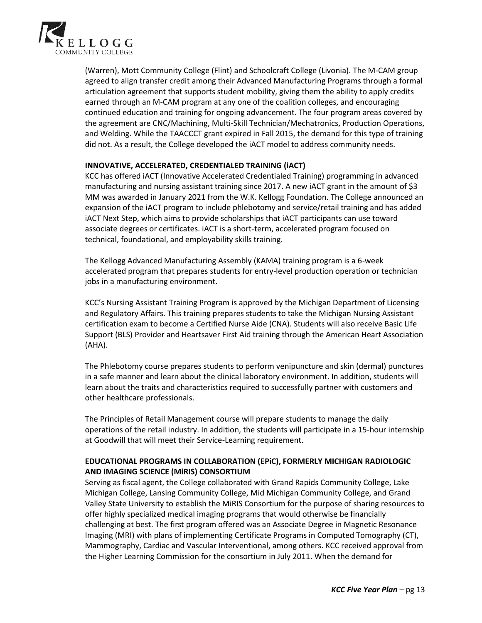

(Warren), Mott Community College (Flint) and Schoolcraft College (Livonia). The M-CAM group agreed to align transfer credit among their Advanced Manufacturing Programs through a formal articulation agreement that supports student mobility, giving them the ability to apply credits earned through an M-CAM program at any one of the coalition colleges, and encouraging continued education and training for ongoing advancement. The four program areas covered by the agreement are CNC/Machining, Multi-Skill Technician/Mechatronics, Production Operations, and Welding. While the TAACCCT grant expired in Fall 2015, the demand for this type of training did not. As a result, the College developed the iACT model to address community needs.

#### **INNOVATIVE, ACCELERATED, CREDENTIALED TRAINING (iACT)**

KCC has offered iACT (Innovative Accelerated Credentialed Training) programming in advanced manufacturing and nursing assistant training since 2017. A new iACT grant in the amount of \$3 MM was awarded in January 2021 from the W.K. Kellogg Foundation. The College announced an expansion of the iACT program to include phlebotomy and service/retail training and has added iACT Next Step, which aims to provide scholarships that iACT participants can use toward associate degrees or certificates. iACT is a short-term, accelerated program focused on technical, foundational, and employability skills training.

The Kellogg Advanced Manufacturing Assembly (KAMA) training program is a 6-week accelerated program that prepares students for entry-level production operation or technician jobs in a manufacturing environment.

KCC's Nursing Assistant Training Program is approved by the Michigan Department of Licensing and Regulatory Affairs. This training prepares students to take the Michigan Nursing Assistant certification exam to become a Certified Nurse Aide (CNA). Students will also receive Basic Life Support (BLS) Provider and Heartsaver First Aid training through the American Heart Association (AHA).

The Phlebotomy course prepares students to perform venipuncture and skin (dermal) punctures in a safe manner and learn about the clinical laboratory environment. In addition, students will learn about the traits and characteristics required to successfully partner with customers and other healthcare professionals.

The Principles of Retail Management course will prepare students to manage the daily operations of the retail industry. In addition, the students will participate in a 15-hour internship at Goodwill that will meet their Service-Learning requirement.

## **EDUCATIONAL PROGRAMS IN COLLABORATION (EPiC), FORMERLY MICHIGAN RADIOLOGIC AND IMAGING SCIENCE (MiRIS) CONSORTIUM**

Serving as fiscal agent, the College collaborated with Grand Rapids Community College, Lake Michigan College, Lansing Community College, Mid Michigan Community College, and Grand Valley State University to establish the MiRIS Consortium for the purpose of sharing resources to offer highly specialized medical imaging programs that would otherwise be financially challenging at best. The first program offered was an Associate Degree in Magnetic Resonance Imaging (MRI) with plans of implementing Certificate Programs in Computed Tomography (CT), Mammography, Cardiac and Vascular Interventional, among others. KCC received approval from the Higher Learning Commission for the consortium in July 2011. When the demand for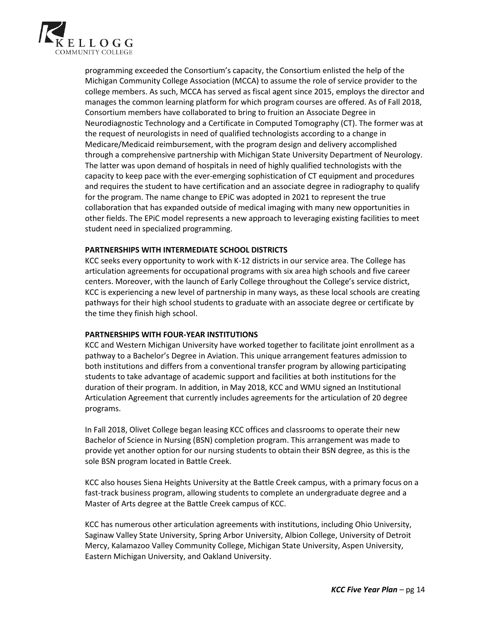

programming exceeded the Consortium's capacity, the Consortium enlisted the help of the Michigan Community College Association (MCCA) to assume the role of service provider to the college members. As such, MCCA has served as fiscal agent since 2015, employs the director and manages the common learning platform for which program courses are offered. As of Fall 2018, Consortium members have collaborated to bring to fruition an Associate Degree in Neurodiagnostic Technology and a Certificate in Computed Tomography (CT). The former was at the request of neurologists in need of qualified technologists according to a change in Medicare/Medicaid reimbursement, with the program design and delivery accomplished through a comprehensive partnership with Michigan State University Department of Neurology. The latter was upon demand of hospitals in need of highly qualified technologists with the capacity to keep pace with the ever-emerging sophistication of CT equipment and procedures and requires the student to have certification and an associate degree in radiography to qualify for the program. The name change to EPiC was adopted in 2021 to represent the true collaboration that has expanded outside of medical imaging with many new opportunities in other fields. The EPiC model represents a new approach to leveraging existing facilities to meet student need in specialized programming.

#### **PARTNERSHIPS WITH INTERMEDIATE SCHOOL DISTRICTS**

KCC seeks every opportunity to work with K-12 districts in our service area. The College has articulation agreements for occupational programs with six area high schools and five career centers. Moreover, with the launch of Early College throughout the College's service district, KCC is experiencing a new level of partnership in many ways, as these local schools are creating pathways for their high school students to graduate with an associate degree or certificate by the time they finish high school.

### **PARTNERSHIPS WITH FOUR-YEAR INSTITUTIONS**

KCC and Western Michigan University have worked together to facilitate joint enrollment as a pathway to a Bachelor's Degree in Aviation. This unique arrangement features admission to both institutions and differs from a conventional transfer program by allowing participating students to take advantage of academic support and facilities at both institutions for the duration of their program. In addition, in May 2018, KCC and WMU signed an Institutional Articulation Agreement that currently includes agreements for the articulation of 20 degree programs.

In Fall 2018, Olivet College began leasing KCC offices and classrooms to operate their new Bachelor of Science in Nursing (BSN) completion program. This arrangement was made to provide yet another option for our nursing students to obtain their BSN degree, as this is the sole BSN program located in Battle Creek.

KCC also houses Siena Heights University at the Battle Creek campus, with a primary focus on a fast-track business program, allowing students to complete an undergraduate degree and a Master of Arts degree at the Battle Creek campus of KCC.

KCC has numerous other articulation agreements with institutions, including Ohio University, Saginaw Valley State University, Spring Arbor University, Albion College, University of Detroit Mercy, Kalamazoo Valley Community College, Michigan State University, Aspen University, Eastern Michigan University, and Oakland University.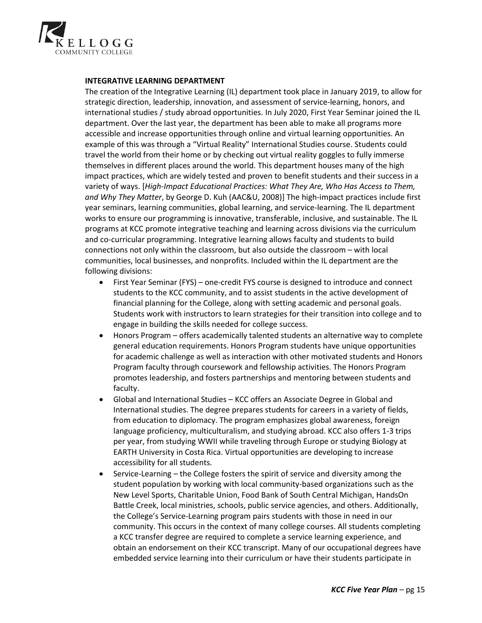

#### **INTEGRATIVE LEARNING DEPARTMENT**

The creation of the Integrative Learning (IL) department took place in January 2019, to allow for strategic direction, leadership, innovation, and assessment of service-learning, honors, and international studies / study abroad opportunities. In July 2020, First Year Seminar joined the IL department. Over the last year, the department has been able to make all programs more accessible and increase opportunities through online and virtual learning opportunities. An example of this was through a "Virtual Reality" International Studies course. Students could travel the world from their home or by checking out virtual reality goggles to fully immerse themselves in different places around the world. This department houses many of the high impact practices, which are widely tested and proven to benefit students and their success in a variety of ways. [*High-Impact Educational Practices: What They Are, Who Has Access to Them, and Why They Matter*, by George D. Kuh (AAC&U, 2008)] The high-impact practices include first year seminars, learning communities, global learning, and service-learning. The IL department works to ensure our programming is innovative, transferable, inclusive, and sustainable. The IL programs at KCC promote integrative teaching and learning across divisions via the curriculum and co-curricular programming. Integrative learning allows faculty and students to build connections not only within the classroom, but also outside the classroom – with local communities, local businesses, and nonprofits. Included within the IL department are the following divisions:

- First Year Seminar (FYS) one-credit FYS course is designed to introduce and connect students to the KCC community, and to assist students in the active development of financial planning for the College, along with setting academic and personal goals. Students work with instructors to learn strategies for their transition into college and to engage in building the skills needed for college success.
- Honors Program offers academically talented students an alternative way to complete general education requirements. Honors Program students have unique opportunities for academic challenge as well as interaction with other motivated students and Honors Program faculty through coursework and fellowship activities. The Honors Program promotes leadership, and fosters partnerships and mentoring between students and faculty.
- Global and International Studies KCC offers an Associate Degree in Global and International studies. The degree prepares students for careers in a variety of fields, from education to diplomacy. The program emphasizes global awareness, foreign language proficiency, multiculturalism, and studying abroad. KCC also offers 1-3 trips per year, from studying WWII while traveling through Europe or studying Biology at EARTH University in Costa Rica. Virtual opportunities are developing to increase accessibility for all students.
- Service-Learning the College fosters the spirit of service and diversity among the student population by working with local community-based organizations such as the New Level Sports, Charitable Union, Food Bank of South Central Michigan, HandsOn Battle Creek, local ministries, schools, public service agencies, and others. Additionally, the College's Service-Learning program pairs students with those in need in our community. This occurs in the context of many college courses. All students completing a KCC transfer degree are required to complete a service learning experience, and obtain an endorsement on their KCC transcript. Many of our occupational degrees have embedded service learning into their curriculum or have their students participate in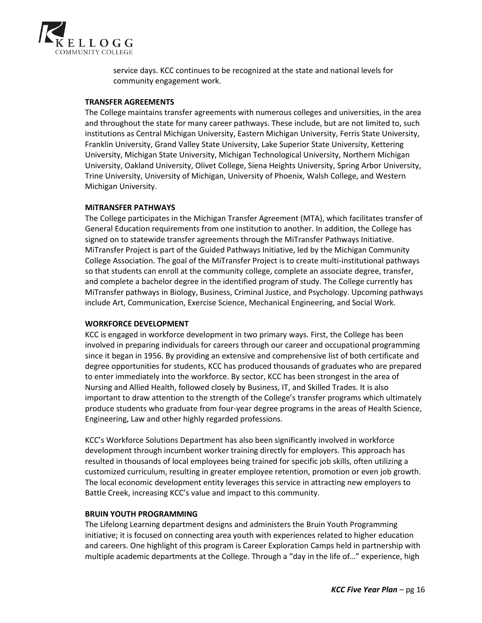

service days. KCC continues to be recognized at the state and national levels for community engagement work.

#### **TRANSFER AGREEMENTS**

The College maintains transfer agreements with numerous colleges and universities, in the area and throughout the state for many career pathways. These include, but are not limited to, such institutions as Central Michigan University, Eastern Michigan University, Ferris State University, Franklin University, Grand Valley State University, Lake Superior State University, Kettering University, Michigan State University, Michigan Technological University, Northern Michigan University, Oakland University, Olivet College, Siena Heights University, Spring Arbor University, Trine University, University of Michigan, University of Phoenix, Walsh College, and Western Michigan University.

#### **MiTRANSFER PATHWAYS**

The College participates in the Michigan Transfer Agreement (MTA), which facilitates transfer of General Education requirements from one institution to another. In addition, the College has signed on to statewide transfer agreements through the MiTransfer Pathways Initiative. MiTransfer Project is part of the Guided Pathways Initiative, led by the Michigan Community College Association. The goal of the MiTransfer Project is to create multi-institutional pathways so that students can enroll at the community college, complete an associate degree, transfer, and complete a bachelor degree in the identified program of study. The College currently has MiTransfer pathways in Biology, Business, Criminal Justice, and Psychology. Upcoming pathways include Art, Communication, Exercise Science, Mechanical Engineering, and Social Work.

#### **WORKFORCE DEVELOPMENT**

KCC is engaged in workforce development in two primary ways. First, the College has been involved in preparing individuals for careers through our career and occupational programming since it began in 1956. By providing an extensive and comprehensive list of both certificate and degree opportunities for students, KCC has produced thousands of graduates who are prepared to enter immediately into the workforce. By sector, KCC has been strongest in the area of Nursing and Allied Health, followed closely by Business, IT, and Skilled Trades. It is also important to draw attention to the strength of the College's transfer programs which ultimately produce students who graduate from four-year degree programs in the areas of Health Science, Engineering, Law and other highly regarded professions.

KCC's Workforce Solutions Department has also been significantly involved in workforce development through incumbent worker training directly for employers. This approach has resulted in thousands of local employees being trained for specific job skills, often utilizing a customized curriculum, resulting in greater employee retention, promotion or even job growth. The local economic development entity leverages this service in attracting new employers to Battle Creek, increasing KCC's value and impact to this community.

#### **BRUIN YOUTH PROGRAMMING**

The Lifelong Learning department designs and administers the Bruin Youth Programming initiative; it is focused on connecting area youth with experiences related to higher education and careers. One highlight of this program is Career Exploration Camps held in partnership with multiple academic departments at the College. Through a "day in the life of…" experience, high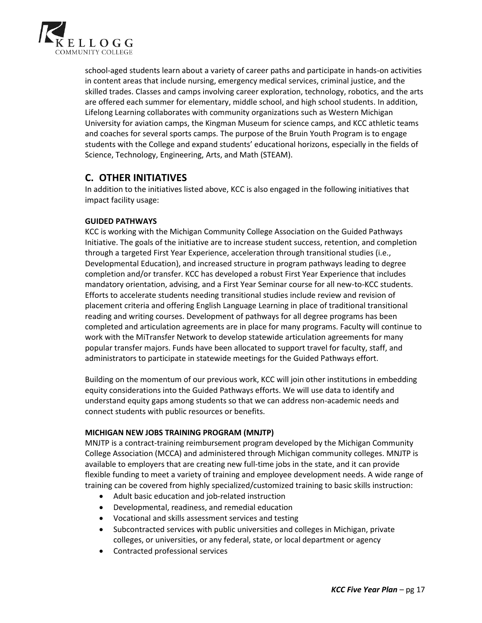

school-aged students learn about a variety of career paths and participate in hands-on activities in content areas that include nursing, emergency medical services, criminal justice, and the skilled trades. Classes and camps involving career exploration, technology, robotics, and the arts are offered each summer for elementary, middle school, and high school students. In addition, Lifelong Learning collaborates with community organizations such as Western Michigan University for aviation camps, the Kingman Museum for science camps, and KCC athletic teams and coaches for several sports camps. The purpose of the Bruin Youth Program is to engage students with the College and expand students' educational horizons, especially in the fields of Science, Technology, Engineering, Arts, and Math (STEAM).

## **C. OTHER INITIATIVES**

In addition to the initiatives listed above, KCC is also engaged in the following initiatives that impact facility usage:

## **GUIDED PATHWAYS**

KCC is working with the Michigan Community College Association on the Guided Pathways Initiative. The goals of the initiative are to increase student success, retention, and completion through a targeted First Year Experience, acceleration through transitional studies (i.e., Developmental Education), and increased structure in program pathways leading to degree completion and/or transfer. KCC has developed a robust First Year Experience that includes mandatory orientation, advising, and a First Year Seminar course for all new-to-KCC students. Efforts to accelerate students needing transitional studies include review and revision of placement criteria and offering English Language Learning in place of traditional transitional reading and writing courses. Development of pathways for all degree programs has been completed and articulation agreements are in place for many programs. Faculty will continue to work with the MiTransfer Network to develop statewide articulation agreements for many popular transfer majors. Funds have been allocated to support travel for faculty, staff, and administrators to participate in statewide meetings for the Guided Pathways effort.

Building on the momentum of our previous work, KCC will join other institutions in embedding equity considerations into the Guided Pathways efforts. We will use data to identify and understand equity gaps among students so that we can address non-academic needs and connect students with public resources or benefits.

### **MICHIGAN NEW JOBS TRAINING PROGRAM (MNJTP)**

MNJTP is a contract-training reimbursement program developed by the Michigan Community College Association (MCCA) and administered through Michigan community colleges. MNJTP is available to employers that are creating new full-time jobs in the state, and it can provide flexible funding to meet a variety of training and employee development needs. A wide range of training can be covered from highly specialized/customized training to basic skills instruction:

- Adult basic education and job-related instruction
- Developmental, readiness, and remedial education
- Vocational and skills assessment services and testing
- Subcontracted services with public universities and colleges in Michigan, private colleges, or universities, or any federal, state, or local department or agency
- Contracted professional services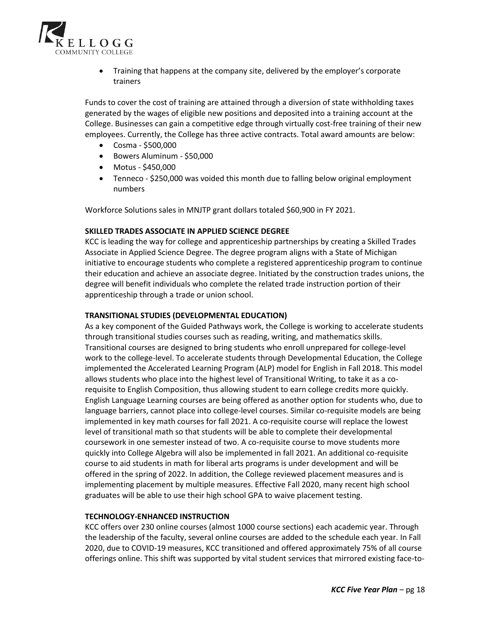

• Training that happens at the company site, delivered by the employer's corporate trainers

Funds to cover the cost of training are attained through a diversion of state withholding taxes generated by the wages of eligible new positions and deposited into a training account at the College. Businesses can gain a competitive edge through virtually cost-free training of their new employees. Currently, the College has three active contracts. Total award amounts are below:

- Cosma \$500,000
- Bowers Aluminum \$50,000
- Motus \$450,000
- Tenneco \$250,000 was voided this month due to falling below original employment numbers

Workforce Solutions sales in MNJTP grant dollars totaled \$60,900 in FY 2021.

#### **SKILLED TRADES ASSOCIATE IN APPLIED SCIENCE DEGREE**

KCC is leading the way for college and apprenticeship partnerships by creating a Skilled Trades Associate in Applied Science Degree. The degree program aligns with a State of Michigan initiative to encourage students who complete a registered apprenticeship program to continue their education and achieve an associate degree. Initiated by the construction trades unions, the degree will benefit individuals who complete the related trade instruction portion of their apprenticeship through a trade or union school.

#### **TRANSITIONAL STUDIES (DEVELOPMENTAL EDUCATION)**

As a key component of the Guided Pathways work, the College is working to accelerate students through transitional studies courses such as reading, writing, and mathematics skills. Transitional courses are designed to bring students who enroll unprepared for college-level work to the college-level. To accelerate students through Developmental Education, the College implemented the Accelerated Learning Program (ALP) model for English in Fall 2018. This model allows students who place into the highest level of Transitional Writing, to take it as a corequisite to English Composition, thus allowing student to earn college credits more quickly. English Language Learning courses are being offered as another option for students who, due to language barriers, cannot place into college-level courses. Similar co-requisite models are being implemented in key math courses for fall 2021. A co-requisite course will replace the lowest level of transitional math so that students will be able to complete their developmental coursework in one semester instead of two. A co-requisite course to move students more quickly into College Algebra will also be implemented in fall 2021. An additional co-requisite course to aid students in math for liberal arts programs is under development and will be offered in the spring of 2022. In addition, the College reviewed placement measures and is implementing placement by multiple measures. Effective Fall 2020, many recent high school graduates will be able to use their high school GPA to waive placement testing.

#### **TECHNOLOGY-ENHANCED INSTRUCTION**

KCC offers over 230 online courses (almost 1000 course sections) each academic year. Through the leadership of the faculty, several online courses are added to the schedule each year. In Fall 2020, due to COVID-19 measures, KCC transitioned and offered approximately 75% of all course offerings online. This shift was supported by vital student services that mirrored existing face-to-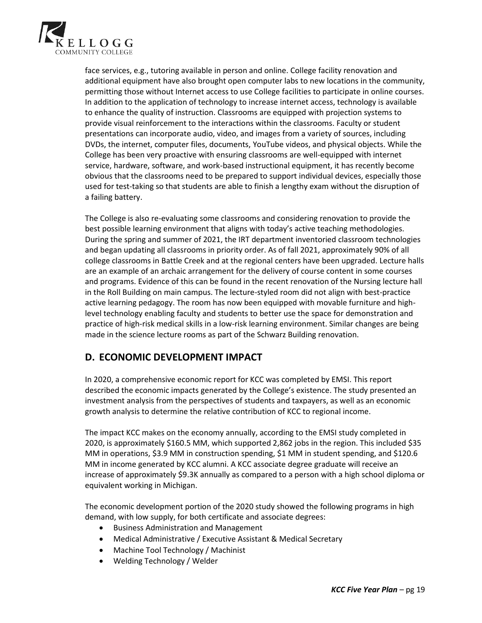

face services, e.g., tutoring available in person and online. College facility renovation and additional equipment have also brought open computer labs to new locations in the community, permitting those without Internet access to use College facilities to participate in online courses. In addition to the application of technology to increase internet access, technology is available to enhance the quality of instruction. Classrooms are equipped with projection systems to provide visual reinforcement to the interactions within the classrooms. Faculty or student presentations can incorporate audio, video, and images from a variety of sources, including DVDs, the internet, computer files, documents, YouTube videos, and physical objects. While the College has been very proactive with ensuring classrooms are well-equipped with internet service, hardware, software, and work-based instructional equipment, it has recently become obvious that the classrooms need to be prepared to support individual devices, especially those used for test-taking so that students are able to finish a lengthy exam without the disruption of a failing battery.

The College is also re-evaluating some classrooms and considering renovation to provide the best possible learning environment that aligns with today's active teaching methodologies. During the spring and summer of 2021, the IRT department inventoried classroom technologies and began updating all classrooms in priority order. As of fall 2021, approximately 90% of all college classrooms in Battle Creek and at the regional centers have been upgraded. Lecture halls are an example of an archaic arrangement for the delivery of course content in some courses and programs. Evidence of this can be found in the recent renovation of the Nursing lecture hall in the Roll Building on main campus. The lecture-styled room did not align with best-practice active learning pedagogy. The room has now been equipped with movable furniture and highlevel technology enabling faculty and students to better use the space for demonstration and practice of high-risk medical skills in a low-risk learning environment. Similar changes are being made in the science lecture rooms as part of the Schwarz Building renovation.

## **D. ECONOMIC DEVELOPMENT IMPACT**

In 2020, a comprehensive economic report for KCC was completed by EMSI. This report described the economic impacts generated by the College's existence. The study presented an investment analysis from the perspectives of students and taxpayers, as well as an economic growth analysis to determine the relative contribution of KCC to regional income.

The impact KCC makes on the economy annually, according to the EMSI study completed in 2020, is approximately \$160.5 MM, which supported 2,862 jobs in the region. This included \$35 MM in operations, \$3.9 MM in construction spending, \$1 MM in student spending, and \$120.6 MM in income generated by KCC alumni. A KCC associate degree graduate will receive an increase of approximately \$9.3K annually as compared to a person with a high school diploma or equivalent working in Michigan.

The economic development portion of the 2020 study showed the following programs in high demand, with low supply, for both certificate and associate degrees:

- Business Administration and Management
- Medical Administrative / Executive Assistant & Medical Secretary
- Machine Tool Technology / Machinist
- Welding Technology / Welder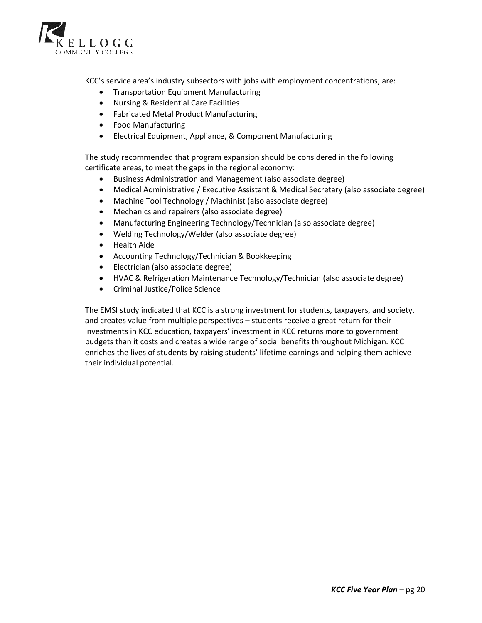

KCC's service area's industry subsectors with jobs with employment concentrations, are:

- Transportation Equipment Manufacturing
- Nursing & Residential Care Facilities
- Fabricated Metal Product Manufacturing
- Food Manufacturing
- Electrical Equipment, Appliance, & Component Manufacturing

The study recommended that program expansion should be considered in the following certificate areas, to meet the gaps in the regional economy:

- Business Administration and Management (also associate degree)
- Medical Administrative / Executive Assistant & Medical Secretary (also associate degree)
- Machine Tool Technology / Machinist (also associate degree)
- Mechanics and repairers (also associate degree)
- Manufacturing Engineering Technology/Technician (also associate degree)
- Welding Technology/Welder (also associate degree)
- Health Aide
- Accounting Technology/Technician & Bookkeeping
- Electrician (also associate degree)
- HVAC & Refrigeration Maintenance Technology/Technician (also associate degree)
- Criminal Justice/Police Science

The EMSI study indicated that KCC is a strong investment for students, taxpayers, and society, and creates value from multiple perspectives – students receive a great return for their investments in KCC education, taxpayers' investment in KCC returns more to government budgets than it costs and creates a wide range of social benefits throughout Michigan. KCC enriches the lives of students by raising students' lifetime earnings and helping them achieve their individual potential.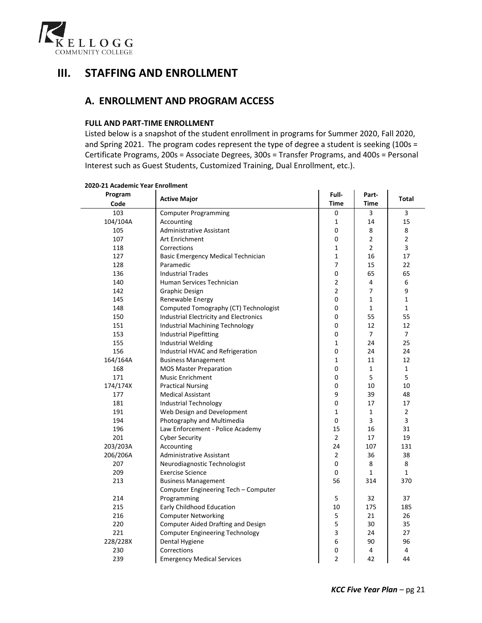

# **III. STAFFING AND ENROLLMENT**

## **A. ENROLLMENT AND PROGRAM ACCESS**

#### **FULL AND PART-TIME ENROLLMENT**

Listed below is a snapshot of the student enrollment in programs for Summer 2020, Fall 2020, and Spring 2021. The program codes represent the type of degree a student is seeking (100s = Certificate Programs, 200s = Associate Degrees, 300s = Transfer Programs, and 400s = Personal Interest such as Guest Students, Customized Training, Dual Enrollment, etc.).

| Program<br>Code | <b>Active Major</b>                           | Full-<br>Time  | Part-<br>Time  | <b>Total</b>   |
|-----------------|-----------------------------------------------|----------------|----------------|----------------|
| 103             | <b>Computer Programming</b>                   | 0              | 3              | 3              |
| 104/104A        | Accounting                                    | 1              | 14             | 15             |
| 105             | <b>Administrative Assistant</b>               | 0              | 8              | 8              |
| 107             | Art Enrichment                                | $\pmb{0}$      | $\overline{2}$ | $\overline{2}$ |
| 118             | Corrections                                   | 1              | $\overline{2}$ | 3              |
| 127             | Basic Emergency Medical Technician            | $\mathbf{1}$   | 16             | 17             |
| 128             | Paramedic                                     | $\overline{7}$ | 15             | 22             |
| 136             | <b>Industrial Trades</b>                      | $\pmb{0}$      | 65             | 65             |
| 140             | Human Services Technician                     | $\overline{2}$ | 4              | 6              |
| 142             | <b>Graphic Design</b>                         | $\overline{2}$ | $\overline{7}$ | 9              |
| 145             | Renewable Energy                              | 0              | $\mathbf{1}$   | 1              |
| 148             | Computed Tomography (CT) Technologist         | 0              | $\mathbf{1}$   | 1              |
| 150             | <b>Industrial Electricity and Electronics</b> | 0              | 55             | 55             |
| 151             | <b>Industrial Machining Technology</b>        | 0              | 12             | 12             |
| 153             | <b>Industrial Pipefitting</b>                 | $\pmb{0}$      | $\overline{7}$ | $\overline{7}$ |
| 155             | <b>Industrial Welding</b>                     | 1              | 24             | 25             |
| 156             | Industrial HVAC and Refrigeration             | 0              | 24             | 24             |
| 164/164A        | <b>Business Management</b>                    | $\mathbf{1}$   | 11             | 12             |
| 168             | <b>MOS Master Preparation</b>                 | 0              | $\mathbf{1}$   | $\mathbf{1}$   |
| 171             | <b>Music Enrichment</b>                       | 0              | 5              | 5              |
| 174/174X        | <b>Practical Nursing</b>                      | 0              | 10             | 10             |
| 177             | <b>Medical Assistant</b>                      | 9              | 39             | 48             |
| 181             | Industrial Technology                         | 0              | 17             | 17             |
| 191             | Web Design and Development                    | 1              | $\mathbf{1}$   | 2              |
| 194             | Photography and Multimedia                    | 0              | 3              | 3              |
| 196             | Law Enforcement - Police Academy              | 15             | 16             | 31             |
| 201             | <b>Cyber Security</b>                         | $\overline{2}$ | 17             | 19             |
| 203/203A        | Accounting                                    | 24             | 107            | 131            |
| 206/206A        | Administrative Assistant                      | $\overline{2}$ | 36             | 38             |
| 207             | Neurodiagnostic Technologist                  | 0              | 8              | 8              |
| 209             | <b>Exercise Science</b>                       | 0              | $\mathbf{1}$   | 1              |
| 213             | <b>Business Management</b>                    | 56             | 314            | 370            |
|                 | Computer Engineering Tech - Computer          |                |                |                |
| 214             | Programming                                   | 5              | 32             | 37             |
| 215             | Early Childhood Education                     | 10             | 175            | 185            |
| 216             | <b>Computer Networking</b>                    | 5              | 21             | 26             |
| 220             | <b>Computer Aided Drafting and Design</b>     | 5              | 30             | 35             |
| 221             | <b>Computer Engineering Technology</b>        | 3              | 24             | 27             |
| 228/228X        | Dental Hygiene                                | 6              | 90             | 96             |
| 230             | Corrections                                   | 0              | 4              | 4              |
| 239             | <b>Emergency Medical Services</b>             | $\overline{2}$ | 42             | 44             |

#### **2020-21 Academic Year Enrollment**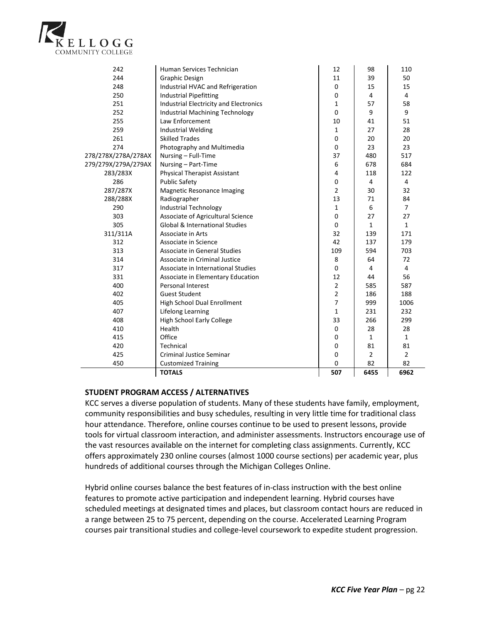

| 242                 | Human Services Technician                     | 12             | 98             | 110            |
|---------------------|-----------------------------------------------|----------------|----------------|----------------|
| 244                 | <b>Graphic Design</b>                         | 11             | 39             | 50             |
| 248                 | Industrial HVAC and Refrigeration             | $\Omega$       | 15             | 15             |
| 250                 | <b>Industrial Pipefitting</b>                 | 0              | $\overline{4}$ | 4              |
| 251                 | <b>Industrial Electricity and Electronics</b> | $\mathbf{1}$   | 57             | 58             |
| 252                 | Industrial Machining Technology               | $\Omega$       | 9              | 9              |
| 255                 | Law Enforcement                               | 10             | 41             | 51             |
| 259                 | <b>Industrial Welding</b>                     | $\mathbf{1}$   | 27             | 28             |
| 261                 | <b>Skilled Trades</b>                         | 0              | 20             | 20             |
| 274                 | Photography and Multimedia                    | 0              | 23             | 23             |
| 278/278X/278A/278AX | Nursing - Full-Time                           | 37             | 480            | 517            |
| 279/279X/279A/279AX | Nursing - Part-Time                           | 6              | 678            | 684            |
| 283/283X            | <b>Physical Therapist Assistant</b>           | 4              | 118            | 122            |
| 286                 | <b>Public Safety</b>                          | 0              | 4              | 4              |
| 287/287X            | <b>Magnetic Resonance Imaging</b>             | $\overline{2}$ | 30             | 32             |
| 288/288X            | Radiographer                                  | 13             | 71             | 84             |
| 290                 | <b>Industrial Technology</b>                  | $\mathbf{1}$   | 6              | $\overline{7}$ |
| 303                 | Associate of Agricultural Science             | 0              | 27             | 27             |
| 305                 | <b>Global &amp; International Studies</b>     | $\Omega$       | $\mathbf{1}$   | $\mathbf{1}$   |
| 311/311A            | Associate in Arts                             | 32             | 139            | 171            |
| 312                 | Associate in Science                          | 42             | 137            | 179            |
| 313                 | Associate in General Studies                  | 109            | 594            | 703            |
| 314                 | Associate in Criminal Justice                 | 8              | 64             | 72             |
| 317                 | Associate in International Studies            | 0              | 4              | 4              |
| 331                 | Associate in Elementary Education             | 12             | 44             | 56             |
| 400                 | Personal Interest                             | $\overline{2}$ | 585            | 587            |
| 402                 | <b>Guest Student</b>                          | $\overline{2}$ | 186            | 188            |
| 405                 | High School Dual Enrollment                   | $\overline{7}$ | 999            | 1006           |
| 407                 | Lifelong Learning                             | $\mathbf{1}$   | 231            | 232            |
| 408                 | <b>High School Early College</b>              | 33             | 266            | 299            |
| 410                 | Health                                        | 0              | 28             | 28             |
| 415                 | Office                                        | 0              | $\mathbf{1}$   | $\mathbf{1}$   |
| 420                 | Technical                                     | 0              | 81             | 81             |
| 425                 | <b>Criminal Justice Seminar</b>               | 0              | $\overline{2}$ | $\overline{2}$ |
| 450                 | <b>Customized Training</b>                    | $\Omega$       | 82             | 82             |
|                     | <b>TOTALS</b>                                 | 507            | 6455           | 6962           |

### **STUDENT PROGRAM ACCESS / ALTERNATIVES**

KCC serves a diverse population of students. Many of these students have family, employment, community responsibilities and busy schedules, resulting in very little time for traditional class hour attendance. Therefore, online courses continue to be used to present lessons, provide tools for virtual classroom interaction, and administer assessments. Instructors encourage use of the vast resources available on the internet for completing class assignments. Currently, KCC offers approximately 230 online courses (almost 1000 course sections) per academic year, plus hundreds of additional courses through the Michigan Colleges Online.

Hybrid online courses balance the best features of in-class instruction with the best online features to promote active participation and independent learning. Hybrid courses have scheduled meetings at designated times and places, but classroom contact hours are reduced in a range between 25 to 75 percent, depending on the course. Accelerated Learning Program courses pair transitional studies and college-level coursework to expedite student progression.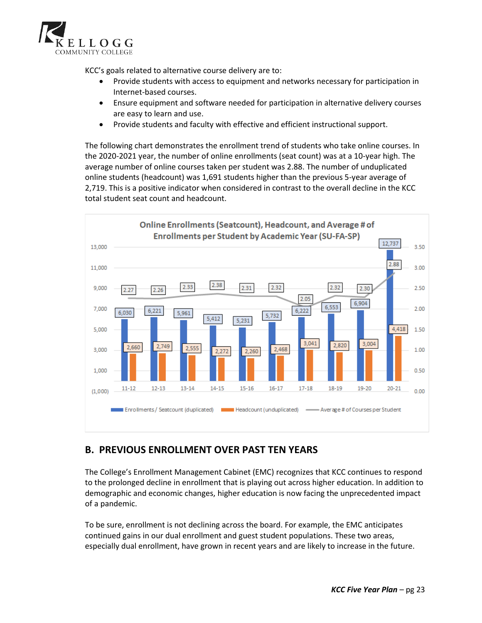

KCC's goals related to alternative course delivery are to:

- Provide students with access to equipment and networks necessary for participation in Internet-based courses.
- Ensure equipment and software needed for participation in alternative delivery courses are easy to learn and use.
- Provide students and faculty with effective and efficient instructional support.

The following chart demonstrates the enrollment trend of students who take online courses. In the 2020-2021 year, the number of online enrollments (seat count) was at a 10-year high. The average number of online courses taken per student was 2.88. The number of unduplicated online students (headcount) was 1,691 students higher than the previous 5-year average of 2,719. This is a positive indicator when considered in contrast to the overall decline in the KCC total student seat count and headcount.



## **B. PREVIOUS ENROLLMENT OVER PAST TEN YEARS**

The College's Enrollment Management Cabinet (EMC) recognizes that KCC continues to respond to the prolonged decline in enrollment that is playing out across higher education. In addition to demographic and economic changes, higher education is now facing the unprecedented impact of a pandemic.

To be sure, enrollment is not declining across the board. For example, the EMC anticipates continued gains in our dual enrollment and guest student populations. These two areas, especially dual enrollment, have grown in recent years and are likely to increase in the future.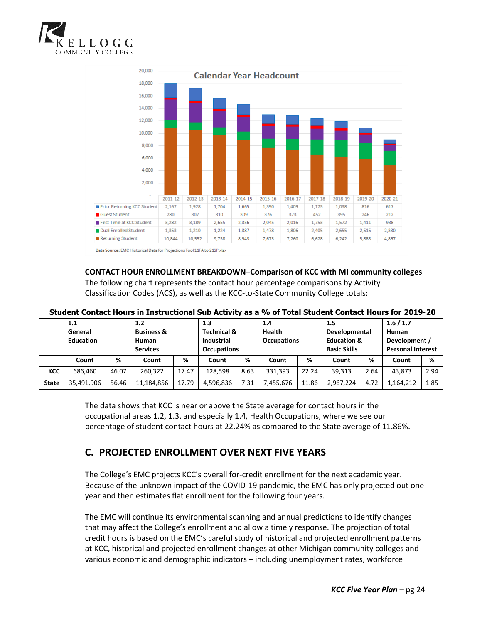



#### **CONTACT HOUR ENROLLMENT BREAKDOWN–Comparison of KCC with MI community colleges** The following chart represents the contact hour percentage comparisons by Activity

Classification Codes (ACS), as well as the KCC-to-State Community College totals:

|              | 1.1<br>General<br><b>Education</b> |       | 1.2<br><b>Business &amp;</b><br>Human<br><b>Services</b> |       | 1.3<br><b>Technical &amp;</b><br>Industrial<br><b>Occupations</b> |      | 1.4<br><b>Health</b><br><b>Occupations</b> |       | 1.5<br>Developmental<br><b>Education &amp;</b><br><b>Basic Skills</b> |      | 1.6/1.7<br>Human<br>Development /<br><b>Personal Interest</b> |      |
|--------------|------------------------------------|-------|----------------------------------------------------------|-------|-------------------------------------------------------------------|------|--------------------------------------------|-------|-----------------------------------------------------------------------|------|---------------------------------------------------------------|------|
|              | Count                              | %     | Count                                                    | %     | Count                                                             | %    | Count                                      | %     | Count                                                                 | %    | Count                                                         | %    |
| <b>KCC</b>   | 686.460                            | 46.07 | 260.322                                                  | 17.47 | 128.598                                                           | 8.63 | 331.393                                    | 22.24 | 39.313                                                                | 2.64 | 43.873                                                        | 2.94 |
| <b>State</b> | 35,491,906                         | 56.46 | 11,184,856                                               | 17.79 | 4,596,836                                                         | 7.31 | 7,455,676                                  | 11.86 | 2,967,224                                                             | 4.72 | 1,164,212                                                     | 1.85 |

## **Student Contact Hours in Instructional Sub Activity as a % of Total Student Contact Hours for 2019-20**

The data shows that KCC is near or above the State average for contact hours in the occupational areas 1.2, 1.3, and especially 1.4, Health Occupations, where we see our percentage of student contact hours at 22.24% as compared to the State average of 11.86%.

## **C. PROJECTED ENROLLMENT OVER NEXT FIVE YEARS**

The College's EMC projects KCC's overall for-credit enrollment for the next academic year. Because of the unknown impact of the COVID-19 pandemic, the EMC has only projected out one year and then estimates flat enrollment for the following four years.

The EMC will continue its environmental scanning and annual predictions to identify changes that may affect the College's enrollment and allow a timely response. The projection of total credit hours is based on the EMC's careful study of historical and projected enrollment patterns at KCC, historical and projected enrollment changes at other Michigan community colleges and various economic and demographic indicators – including unemployment rates, workforce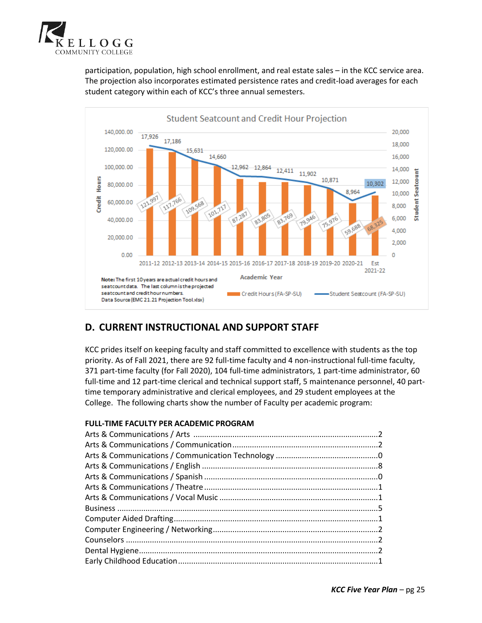

participation, population, high school enrollment, and real estate sales – in the KCC service area. The projection also incorporates estimated persistence rates and credit-load averages for each student category within each of KCC's three annual semesters.



# **D. CURRENT INSTRUCTIONAL AND SUPPORT STAFF**

KCC prides itself on keeping faculty and staff committed to excellence with students as the top priority. As of Fall 2021, there are 92 full-time faculty and 4 non-instructional full-time faculty, 371 part-time faculty (for Fall 2020), 104 full-time administrators, 1 part-time administrator, 60 full-time and 12 part-time clerical and technical support staff, 5 maintenance personnel, 40 parttime temporary administrative and clerical employees, and 29 student employees at the College. The following charts show the number of Faculty per academic program:

### **FULL-TIME FACULTY PER ACADEMIC PROGRAM**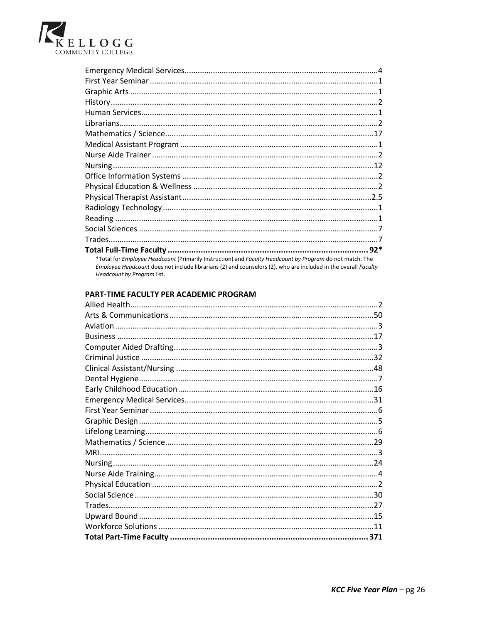

| *Total for Employee Headcount (Primarily Instruction) and Faculty Headcount by Program do not match. The |
|----------------------------------------------------------------------------------------------------------|

Employee Headcount does not include librarians (2) and counselors (2), who are included in the overall Faculty Headcount by Program list.

## PART-TIME FACULTY PER ACADEMIC PROGRAM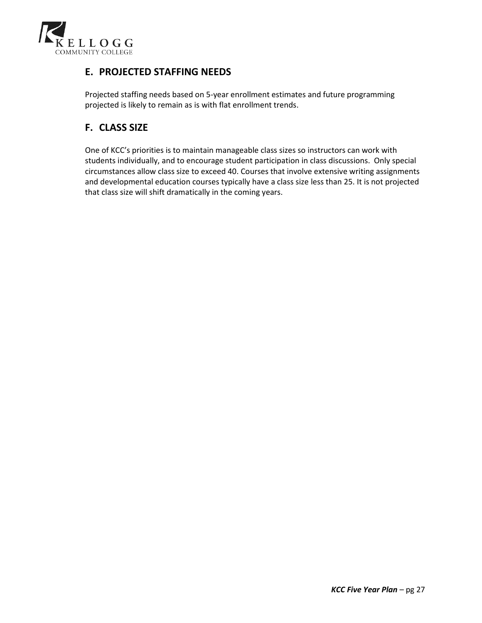

## **E. PROJECTED STAFFING NEEDS**

Projected staffing needs based on 5-year enrollment estimates and future programming projected is likely to remain as is with flat enrollment trends.

## **F. CLASS SIZE**

One of KCC's priorities is to maintain manageable class sizes so instructors can work with students individually, and to encourage student participation in class discussions. Only special circumstances allow class size to exceed 40. Courses that involve extensive writing assignments and developmental education courses typically have a class size less than 25. It is not projected that class size will shift dramatically in the coming years.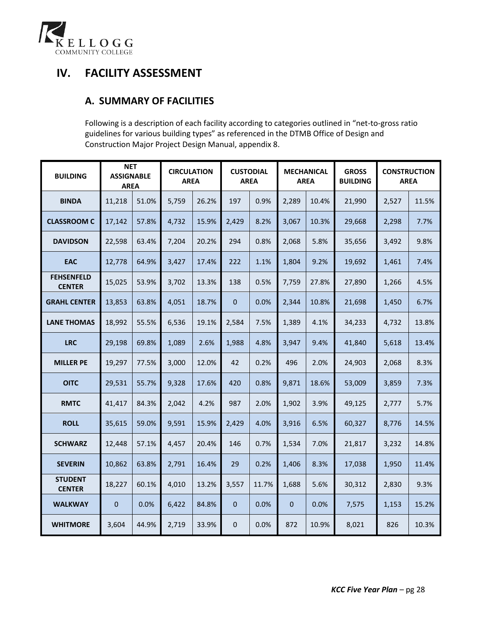

# **IV. FACILITY ASSESSMENT**

## **A. SUMMARY OF FACILITIES**

Following is a description of each facility according to categories outlined in "net-to-gross ratio guidelines for various building types" as referenced in the DTMB Office of Design and Construction Major Project Design Manual, appendix 8.

| <b>BUILDING</b>                    | <b>NET</b><br><b>ASSIGNABLE</b><br><b>AREA</b> |       | <b>CIRCULATION</b><br><b>AREA</b> |       |              | <b>CUSTODIAL</b><br><b>AREA</b> |       | <b>MECHANICAL</b><br><b>AREA</b> | <b>GROSS</b><br><b>BUILDING</b> | <b>CONSTRUCTION</b><br><b>AREA</b> |       |
|------------------------------------|------------------------------------------------|-------|-----------------------------------|-------|--------------|---------------------------------|-------|----------------------------------|---------------------------------|------------------------------------|-------|
| <b>BINDA</b>                       | 11,218                                         | 51.0% | 5,759                             | 26.2% | 197          | 0.9%                            | 2,289 | 10.4%                            | 21,990                          | 2,527                              | 11.5% |
| <b>CLASSROOM C</b>                 | 17,142                                         | 57.8% | 4,732                             | 15.9% | 2,429        | 8.2%                            | 3,067 | 10.3%                            | 29,668                          | 2,298                              | 7.7%  |
| <b>DAVIDSON</b>                    | 22,598                                         | 63.4% | 7,204                             | 20.2% | 294          | 0.8%                            | 2,068 | 5.8%                             | 35,656                          | 3,492                              | 9.8%  |
| <b>EAC</b>                         | 12,778                                         | 64.9% | 3,427                             | 17.4% | 222          | 1.1%                            | 1,804 | 9.2%                             | 19,692                          | 1,461                              | 7.4%  |
| <b>FEHSENFELD</b><br><b>CENTER</b> | 15,025                                         | 53.9% | 3,702                             | 13.3% | 138          | 0.5%                            | 7,759 | 27.8%                            | 27,890                          | 1,266                              | 4.5%  |
| <b>GRAHL CENTER</b>                | 13,853                                         | 63.8% | 4,051                             | 18.7% | $\Omega$     | 0.0%                            | 2,344 | 10.8%                            | 21,698                          | 1,450                              | 6.7%  |
| <b>LANE THOMAS</b>                 | 18,992                                         | 55.5% | 6,536                             | 19.1% | 2,584        | 7.5%                            | 1,389 | 4.1%                             | 34,233                          | 4,732                              | 13.8% |
| <b>LRC</b>                         | 29,198                                         | 69.8% | 1,089                             | 2.6%  | 1,988        | 4.8%                            | 3,947 | 9.4%                             | 41,840                          | 5,618                              | 13.4% |
| <b>MILLER PE</b>                   | 19,297                                         | 77.5% | 3,000                             | 12.0% | 42           | 0.2%                            | 496   | 2.0%                             | 24,903                          | 2,068                              | 8.3%  |
| <b>OITC</b>                        | 29,531                                         | 55.7% | 9,328                             | 17.6% | 420          | 0.8%                            | 9,871 | 18.6%                            | 53,009                          | 3,859                              | 7.3%  |
| <b>RMTC</b>                        | 41,417                                         | 84.3% | 2,042                             | 4.2%  | 987          | 2.0%                            | 1,902 | 3.9%                             | 49,125                          | 2,777                              | 5.7%  |
| <b>ROLL</b>                        | 35,615                                         | 59.0% | 9,591                             | 15.9% | 2,429        | 4.0%                            | 3,916 | 6.5%                             | 60,327                          | 8,776                              | 14.5% |
| <b>SCHWARZ</b>                     | 12,448                                         | 57.1% | 4,457                             | 20.4% | 146          | 0.7%                            | 1,534 | 7.0%                             | 21,817                          | 3,232                              | 14.8% |
| <b>SEVERIN</b>                     | 10,862                                         | 63.8% | 2,791                             | 16.4% | 29           | 0.2%                            | 1,406 | 8.3%                             | 17,038                          | 1,950                              | 11.4% |
| <b>STUDENT</b><br><b>CENTER</b>    | 18,227                                         | 60.1% | 4,010                             | 13.2% | 3,557        | 11.7%                           | 1,688 | 5.6%                             | 30,312                          | 2,830                              | 9.3%  |
| <b>WALKWAY</b>                     | $\mathbf{0}$                                   | 0.0%  | 6,422                             | 84.8% | $\mathbf{0}$ | 0.0%                            | 0     | 0.0%                             | 7,575                           | 1,153                              | 15.2% |
| <b>WHITMORE</b>                    | 3,604                                          | 44.9% | 2,719                             | 33.9% | 0            | 0.0%                            | 872   | 10.9%                            | 8,021                           | 826                                | 10.3% |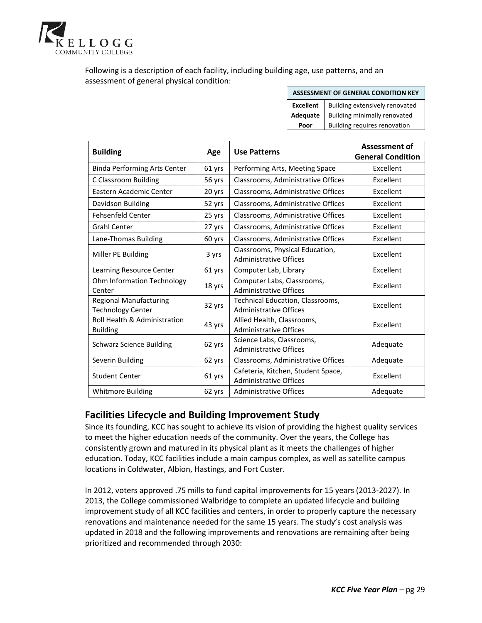

Following is a description of each facility, including building age, use patterns, and an assessment of general physical condition:

|  |  | ASSESSMENT OF GENERAL CONDITION KEY |
|--|--|-------------------------------------|
|--|--|-------------------------------------|

|      | <b>Excellent</b>   Building extensively renovated |
|------|---------------------------------------------------|
|      | Adequate   Building minimally renovated           |
| Poor | Building requires renovation                      |

| <b>Building</b>                                           | Age    | <b>Use Patterns</b>                                                 | <b>Assessment of</b><br><b>General Condition</b> |
|-----------------------------------------------------------|--------|---------------------------------------------------------------------|--------------------------------------------------|
| <b>Binda Performing Arts Center</b>                       | 61 yrs | Performing Arts, Meeting Space                                      | Excellent                                        |
| C Classroom Building                                      | 56 yrs | Classrooms, Administrative Offices                                  | Excellent                                        |
| Eastern Academic Center                                   | 20 yrs | Classrooms, Administrative Offices                                  | Excellent                                        |
| Davidson Building                                         | 52 yrs | Classrooms, Administrative Offices                                  | Excellent                                        |
| <b>Fehsenfeld Center</b>                                  | 25 yrs | Classrooms, Administrative Offices                                  | Excellent                                        |
| <b>Grahl Center</b>                                       | 27 yrs | Classrooms, Administrative Offices                                  | Excellent                                        |
| Lane-Thomas Building                                      | 60 yrs | Classrooms, Administrative Offices                                  | Excellent                                        |
| Miller PE Building                                        | 3 yrs  | Classrooms, Physical Education,<br><b>Administrative Offices</b>    | Excellent                                        |
| Learning Resource Center                                  | 61 yrs | Computer Lab, Library                                               | Excellent                                        |
| Ohm Information Technology<br>Center                      | 18 yrs | Computer Labs, Classrooms,<br><b>Administrative Offices</b>         | Excellent                                        |
| <b>Regional Manufacturing</b><br><b>Technology Center</b> | 32 yrs | Technical Education, Classrooms,<br><b>Administrative Offices</b>   | Excellent                                        |
| Roll Health & Administration<br><b>Building</b>           | 43 yrs | Allied Health, Classrooms,<br><b>Administrative Offices</b>         | Excellent                                        |
| <b>Schwarz Science Building</b>                           | 62 yrs | Science Labs, Classrooms,<br><b>Administrative Offices</b>          | Adequate                                         |
| Severin Building                                          | 62 yrs | Classrooms, Administrative Offices                                  | Adequate                                         |
| <b>Student Center</b>                                     | 61 yrs | Cafeteria, Kitchen, Student Space,<br><b>Administrative Offices</b> | Excellent                                        |
| <b>Whitmore Building</b>                                  | 62 yrs | <b>Administrative Offices</b>                                       | Adequate                                         |

## **Facilities Lifecycle and Building Improvement Study**

Since its founding, KCC has sought to achieve its vision of providing the highest quality services to meet the higher education needs of the community. Over the years, the College has consistently grown and matured in its physical plant as it meets the challenges of higher education. Today, KCC facilities include a main campus complex, as well as satellite campus locations in Coldwater, Albion, Hastings, and Fort Custer.

In 2012, voters approved .75 mills to fund capital improvements for 15 years (2013-2027). In 2013, the College commissioned Walbridge to complete an updated lifecycle and building improvement study of all KCC facilities and centers, in order to properly capture the necessary renovations and maintenance needed for the same 15 years. The study's cost analysis was updated in 2018 and the following improvements and renovations are remaining after being prioritized and recommended through 2030: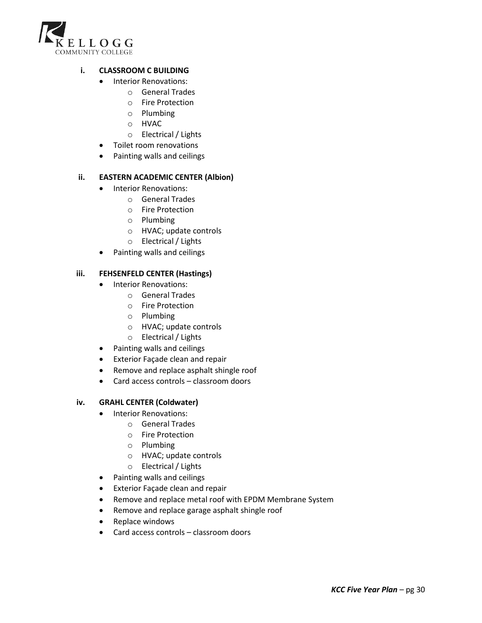

### **i. CLASSROOM C BUILDING**

- Interior Renovations:
	- o General Trades
	- o Fire Protection
	- o Plumbing
	- o HVAC
	- o Electrical / Lights
- Toilet room renovations
- Painting walls and ceilings

### **ii. EASTERN ACADEMIC CENTER (Albion)**

- Interior Renovations:
	- o General Trades
	- o Fire Protection
	- o Plumbing
	- o HVAC; update controls
	- o Electrical / Lights
- Painting walls and ceilings

### **iii. FEHSENFELD CENTER (Hastings)**

- Interior Renovations:
	- o General Trades
	- o Fire Protection
	- o Plumbing
	- o HVAC; update controls
	- o Electrical / Lights
- Painting walls and ceilings
- Exterior Façade clean and repair
- Remove and replace asphalt shingle roof
- Card access controls classroom doors

### **iv. GRAHL CENTER (Coldwater)**

- Interior Renovations:
	- o General Trades
	- o Fire Protection
	- o Plumbing
	- o HVAC; update controls
	- o Electrical / Lights
- Painting walls and ceilings
- Exterior Façade clean and repair
- Remove and replace metal roof with EPDM Membrane System
- Remove and replace garage asphalt shingle roof
- Replace windows
- Card access controls classroom doors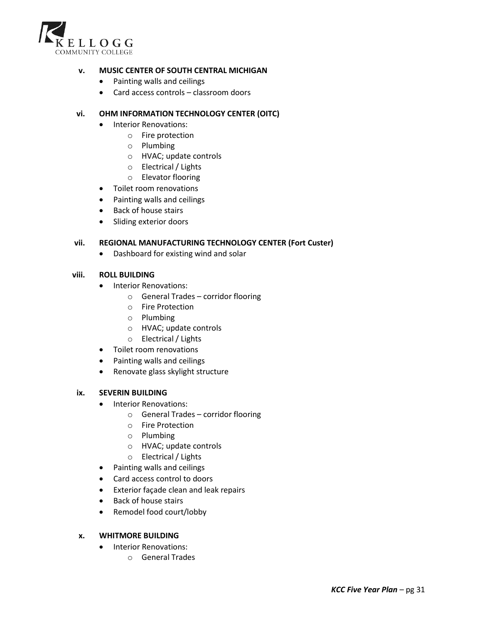

### **v. MUSIC CENTER OF SOUTH CENTRAL MICHIGAN**

- Painting walls and ceilings
- Card access controls classroom doors

### **vi. OHM INFORMATION TECHNOLOGY CENTER (OITC)**

- Interior Renovations:
	- o Fire protection
	- o Plumbing
	- o HVAC; update controls
	- o Electrical / Lights
	- o Elevator flooring
- Toilet room renovations
- Painting walls and ceilings
- Back of house stairs
- Sliding exterior doors

#### **vii. REGIONAL MANUFACTURING TECHNOLOGY CENTER (Fort Custer)**

• Dashboard for existing wind and solar

#### **viii. ROLL BUILDING**

- Interior Renovations:
	- o General Trades corridor flooring
	- o Fire Protection
	- o Plumbing
	- o HVAC; update controls
	- o Electrical / Lights
- Toilet room renovations
- Painting walls and ceilings
- Renovate glass skylight structure

#### **ix. SEVERIN BUILDING**

- Interior Renovations:
	- o General Trades corridor flooring
	- o Fire Protection
	- o Plumbing
	- o HVAC; update controls
	- o Electrical / Lights
- Painting walls and ceilings
- Card access control to doors
- Exterior façade clean and leak repairs
- Back of house stairs
- Remodel food court/lobby

#### **x. WHITMORE BUILDING**

- Interior Renovations:
	- o General Trades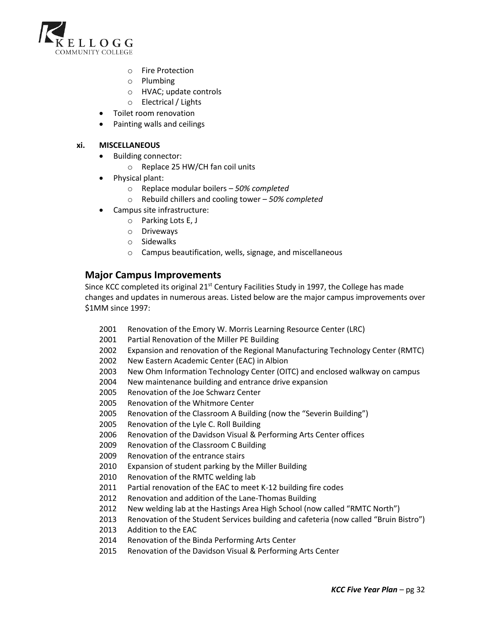

- o Fire Protection
- o Plumbing
- o HVAC; update controls
- o Electrical / Lights
- Toilet room renovation
- Painting walls and ceilings

### **xi. MISCELLANEOUS**

- Building connector:
	- o Replace 25 HW/CH fan coil units
- Physical plant:
	- o Replace modular boilers *50% completed*
	- o Rebuild chillers and cooling tower *50% completed*
- Campus site infrastructure:
	- o Parking Lots E, J
	- o Driveways
	- o Sidewalks
	- o Campus beautification, wells, signage, and miscellaneous

## **Major Campus Improvements**

Since KCC completed its original  $21<sup>st</sup>$  Century Facilities Study in 1997, the College has made changes and updates in numerous areas. Listed below are the major campus improvements over \$1MM since 1997:

- 2001 Renovation of the Emory W. Morris Learning Resource Center (LRC)
- 2001 Partial Renovation of the Miller PE Building
- 2002 Expansion and renovation of the Regional Manufacturing Technology Center (RMTC)
- 2002 New Eastern Academic Center (EAC) in Albion
- 2003 New Ohm Information Technology Center (OITC) and enclosed walkway on campus
- 2004 New maintenance building and entrance drive expansion
- 2005 Renovation of the Joe Schwarz Center
- 2005 Renovation of the Whitmore Center
- 2005 Renovation of the Classroom A Building (now the "Severin Building")
- 2005 Renovation of the Lyle C. Roll Building
- 2006 Renovation of the Davidson Visual & Performing Arts Center offices
- 2009 Renovation of the Classroom C Building
- 2009 Renovation of the entrance stairs
- 2010 Expansion of student parking by the Miller Building
- 2010 Renovation of the RMTC welding lab
- 2011 Partial renovation of the EAC to meet K-12 building fire codes
- 2012 Renovation and addition of the Lane-Thomas Building
- 2012 New welding lab at the Hastings Area High School (now called "RMTC North")
- 2013 Renovation of the Student Services building and cafeteria (now called "Bruin Bistro")
- 2013 Addition to the EAC
- 2014 Renovation of the Binda Performing Arts Center
- 2015 Renovation of the Davidson Visual & Performing Arts Center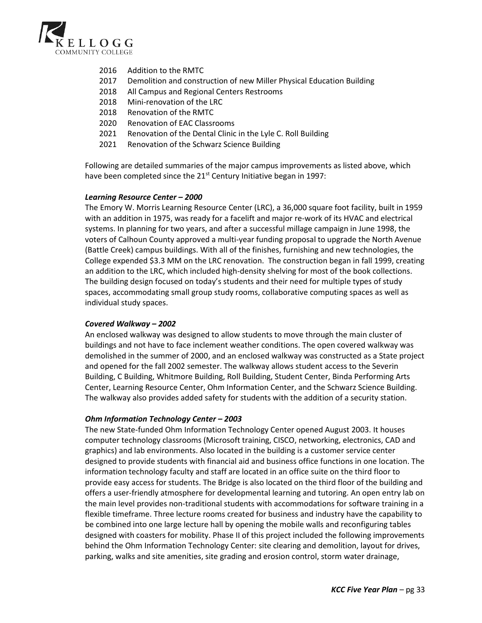

- 2016 Addition to the RMTC
- 2017 Demolition and construction of new Miller Physical Education Building
- 2018 All Campus and Regional Centers Restrooms
- 2018 Mini-renovation of the LRC
- 2018 Renovation of the RMTC
- 2020 Renovation of EAC Classrooms
- 2021 Renovation of the Dental Clinic in the Lyle C. Roll Building
- 2021 Renovation of the Schwarz Science Building

Following are detailed summaries of the major campus improvements as listed above, which have been completed since the  $21^{st}$  Century Initiative began in 1997:

#### *Learning Resource Center – 2000*

The Emory W. Morris Learning Resource Center (LRC), a 36,000 square foot facility, built in 1959 with an addition in 1975, was ready for a facelift and major re-work of its HVAC and electrical systems. In planning for two years, and after a successful millage campaign in June 1998, the voters of Calhoun County approved a multi-year funding proposal to upgrade the North Avenue (Battle Creek) campus buildings. With all of the finishes, furnishing and new technologies, the College expended \$3.3 MM on the LRC renovation. The construction began in fall 1999, creating an addition to the LRC, which included high-density shelving for most of the book collections. The building design focused on today's students and their need for multiple types of study spaces, accommodating small group study rooms, collaborative computing spaces as well as individual study spaces.

#### *Covered Walkway – 2002*

An enclosed walkway was designed to allow students to move through the main cluster of buildings and not have to face inclement weather conditions. The open covered walkway was demolished in the summer of 2000, and an enclosed walkway was constructed as a State project and opened for the fall 2002 semester. The walkway allows student access to the Severin Building, C Building, Whitmore Building, Roll Building, Student Center, Binda Performing Arts Center, Learning Resource Center, Ohm Information Center, and the Schwarz Science Building. The walkway also provides added safety for students with the addition of a security station.

#### *Ohm Information Technology Center – 2003*

The new State-funded Ohm Information Technology Center opened August 2003. It houses computer technology classrooms (Microsoft training, CISCO, networking, electronics, CAD and graphics) and lab environments. Also located in the building is a customer service center designed to provide students with financial aid and business office functions in one location. The information technology faculty and staff are located in an office suite on the third floor to provide easy access for students. The Bridge is also located on the third floor of the building and offers a user-friendly atmosphere for developmental learning and tutoring. An open entry lab on the main level provides non-traditional students with accommodations for software training in a flexible timeframe. Three lecture rooms created for business and industry have the capability to be combined into one large lecture hall by opening the mobile walls and reconfiguring tables designed with coasters for mobility. Phase II of this project included the following improvements behind the Ohm Information Technology Center: site clearing and demolition, layout for drives, parking, walks and site amenities, site grading and erosion control, storm water drainage,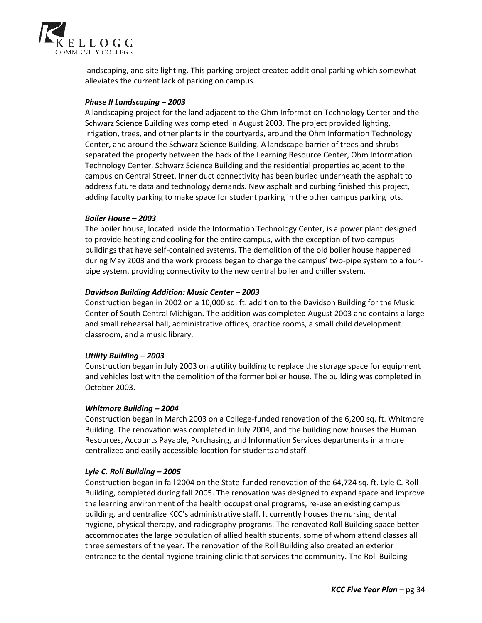

landscaping, and site lighting. This parking project created additional parking which somewhat alleviates the current lack of parking on campus.

### *Phase II Landscaping – 2003*

A landscaping project for the land adjacent to the Ohm Information Technology Center and the Schwarz Science Building was completed in August 2003. The project provided lighting, irrigation, trees, and other plants in the courtyards, around the Ohm Information Technology Center, and around the Schwarz Science Building. A landscape barrier of trees and shrubs separated the property between the back of the Learning Resource Center, Ohm Information Technology Center, Schwarz Science Building and the residential properties adjacent to the campus on Central Street. Inner duct connectivity has been buried underneath the asphalt to address future data and technology demands. New asphalt and curbing finished this project, adding faculty parking to make space for student parking in the other campus parking lots.

#### *Boiler House – 2003*

The boiler house, located inside the Information Technology Center, is a power plant designed to provide heating and cooling for the entire campus, with the exception of two campus buildings that have self-contained systems. The demolition of the old boiler house happened during May 2003 and the work process began to change the campus' two-pipe system to a fourpipe system, providing connectivity to the new central boiler and chiller system.

#### *Davidson Building Addition: Music Center – 2003*

Construction began in 2002 on a 10,000 sq. ft. addition to the Davidson Building for the Music Center of South Central Michigan. The addition was completed August 2003 and contains a large and small rehearsal hall, administrative offices, practice rooms, a small child development classroom, and a music library.

### *Utility Building – 2003*

Construction began in July 2003 on a utility building to replace the storage space for equipment and vehicles lost with the demolition of the former boiler house. The building was completed in October 2003.

#### *Whitmore Building – 2004*

Construction began in March 2003 on a College-funded renovation of the 6,200 sq. ft. Whitmore Building. The renovation was completed in July 2004, and the building now houses the Human Resources, Accounts Payable, Purchasing, and Information Services departments in a more centralized and easily accessible location for students and staff.

#### *Lyle C. Roll Building – 2005*

Construction began in fall 2004 on the State-funded renovation of the 64,724 sq. ft. Lyle C. Roll Building, completed during fall 2005. The renovation was designed to expand space and improve the learning environment of the health occupational programs, re-use an existing campus building, and centralize KCC's administrative staff. It currently houses the nursing, dental hygiene, physical therapy, and radiography programs. The renovated Roll Building space better accommodates the large population of allied health students, some of whom attend classes all three semesters of the year. The renovation of the Roll Building also created an exterior entrance to the dental hygiene training clinic that services the community. The Roll Building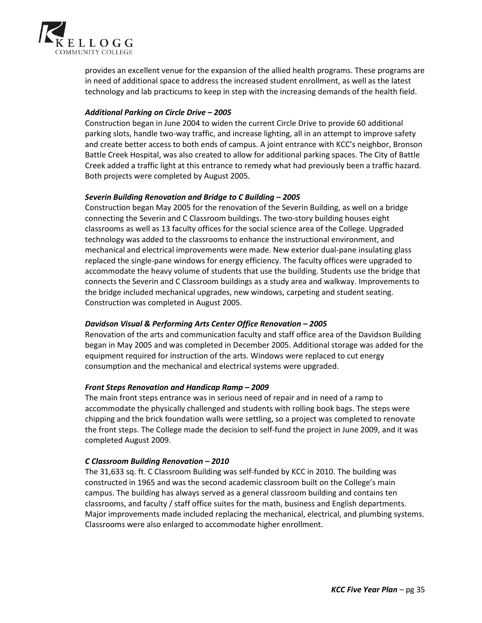

provides an excellent venue for the expansion of the allied health programs. These programs are in need of additional space to address the increased student enrollment, as well as the latest technology and lab practicums to keep in step with the increasing demands of the health field.

### *Additional Parking on Circle Drive – 2005*

Construction began in June 2004 to widen the current Circle Drive to provide 60 additional parking slots, handle two-way traffic, and increase lighting, all in an attempt to improve safety and create better access to both ends of campus. A joint entrance with KCC's neighbor, Bronson Battle Creek Hospital, was also created to allow for additional parking spaces. The City of Battle Creek added a traffic light at this entrance to remedy what had previously been a traffic hazard. Both projects were completed by August 2005.

#### *Severin Building Renovation and Bridge to C Building – 2005*

Construction began May 2005 for the renovation of the Severin Building, as well on a bridge connecting the Severin and C Classroom buildings. The two-story building houses eight classrooms as well as 13 faculty offices for the social science area of the College. Upgraded technology was added to the classrooms to enhance the instructional environment, and mechanical and electrical improvements were made. New exterior dual-pane insulating glass replaced the single-pane windows for energy efficiency. The faculty offices were upgraded to accommodate the heavy volume of students that use the building. Students use the bridge that connects the Severin and C Classroom buildings as a study area and walkway. Improvements to the bridge included mechanical upgrades, new windows, carpeting and student seating. Construction was completed in August 2005.

### **Davidson Visual & Performing Arts Center Office Renovation – 2005**

Renovation of the arts and communication faculty and staff office area of the Davidson Building began in May 2005 and was completed in December 2005. Additional storage was added for the equipment required for instruction of the arts. Windows were replaced to cut energy consumption and the mechanical and electrical systems were upgraded.

### *Front Steps Renovation and Handicap Ramp – 2009*

The main front steps entrance was in serious need of repair and in need of a ramp to accommodate the physically challenged and students with rolling book bags. The steps were chipping and the brick foundation walls were settling, so a project was completed to renovate the front steps. The College made the decision to self-fund the project in June 2009, and it was completed August 2009.

#### *C Classroom Building Renovation – 2010*

The 31,633 sq. ft. C Classroom Building was self-funded by KCC in 2010. The building was constructed in 1965 and was the second academic classroom built on the College's main campus. The building has always served as a general classroom building and contains ten classrooms, and faculty / staff office suites for the math, business and English departments. Major improvements made included replacing the mechanical, electrical, and plumbing systems. Classrooms were also enlarged to accommodate higher enrollment.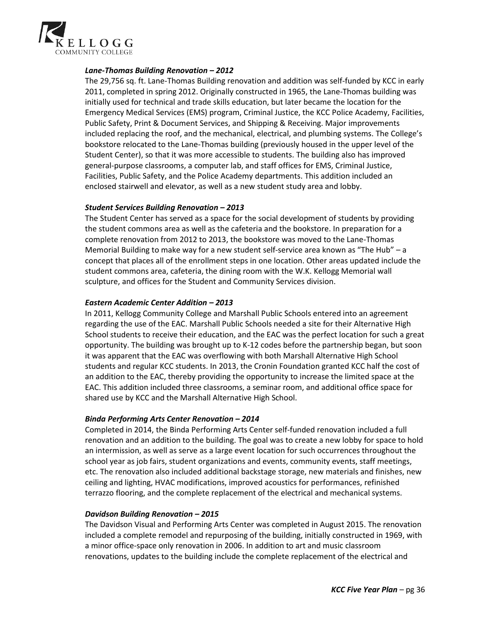

### *Lane-Thomas Building Renovation – 2012*

The 29,756 sq. ft. Lane-Thomas Building renovation and addition was self-funded by KCC in early 2011, completed in spring 2012. Originally constructed in 1965, the Lane-Thomas building was initially used for technical and trade skills education, but later became the location for the Emergency Medical Services (EMS) program, Criminal Justice, the KCC Police Academy, Facilities, Public Safety, Print & Document Services, and Shipping & Receiving. Major improvements included replacing the roof, and the mechanical, electrical, and plumbing systems. The College's bookstore relocated to the Lane-Thomas building (previously housed in the upper level of the Student Center), so that it was more accessible to students. The building also has improved general-purpose classrooms, a computer lab, and staff offices for EMS, Criminal Justice, Facilities, Public Safety, and the Police Academy departments. This addition included an enclosed stairwell and elevator, as well as a new student study area and lobby.

#### *Student Services Building Renovation – 2013*

The Student Center has served as a space for the social development of students by providing the student commons area as well as the cafeteria and the bookstore. In preparation for a complete renovation from 2012 to 2013, the bookstore was moved to the Lane-Thomas Memorial Building to make way for a new student self-service area known as "The Hub" – a concept that places all of the enrollment steps in one location. Other areas updated include the student commons area, cafeteria, the dining room with the W.K. Kellogg Memorial wall sculpture, and offices for the Student and Community Services division.

#### *Eastern Academic Center Addition – 2013*

In 2011, Kellogg Community College and Marshall Public Schools entered into an agreement regarding the use of the EAC. Marshall Public Schools needed a site for their Alternative High School students to receive their education, and the EAC was the perfect location for such a great opportunity. The building was brought up to K-12 codes before the partnership began, but soon it was apparent that the EAC was overflowing with both Marshall Alternative High School students and regular KCC students. In 2013, the Cronin Foundation granted KCC half the cost of an addition to the EAC, thereby providing the opportunity to increase the limited space at the EAC. This addition included three classrooms, a seminar room, and additional office space for shared use by KCC and the Marshall Alternative High School.

#### *Binda Performing Arts Center Renovation – 2014*

Completed in 2014, the Binda Performing Arts Center self-funded renovation included a full renovation and an addition to the building. The goal was to create a new lobby for space to hold an intermission, as well as serve as a large event location for such occurrences throughout the school year as job fairs, student organizations and events, community events, staff meetings, etc. The renovation also included additional backstage storage, new materials and finishes, new ceiling and lighting, HVAC modifications, improved acoustics for performances, refinished terrazzo flooring, and the complete replacement of the electrical and mechanical systems.

#### *Davidson Building Renovation – 2015*

The Davidson Visual and Performing Arts Center was completed in August 2015. The renovation included a complete remodel and repurposing of the building, initially constructed in 1969, with a minor office-space only renovation in 2006. In addition to art and music classroom renovations, updates to the building include the complete replacement of the electrical and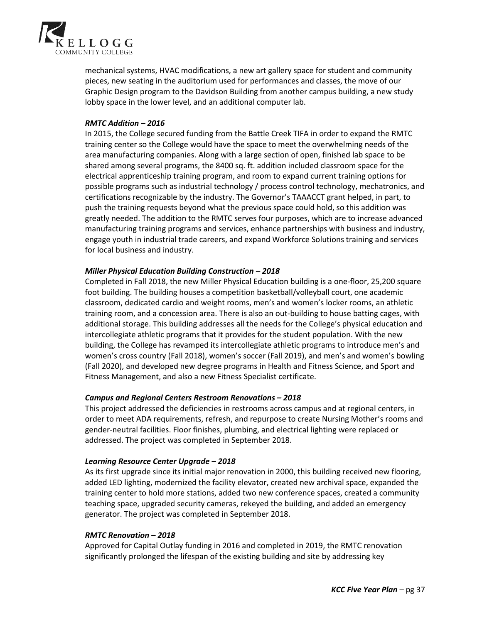

mechanical systems, HVAC modifications, a new art gallery space for student and community pieces, new seating in the auditorium used for performances and classes, the move of our Graphic Design program to the Davidson Building from another campus building, a new study lobby space in the lower level, and an additional computer lab.

### *RMTC Addition – 2016*

In 2015, the College secured funding from the Battle Creek TIFA in order to expand the RMTC training center so the College would have the space to meet the overwhelming needs of the area manufacturing companies. Along with a large section of open, finished lab space to be shared among several programs, the 8400 sq. ft. addition included classroom space for the electrical apprenticeship training program, and room to expand current training options for possible programs such as industrial technology / process control technology, mechatronics, and certifications recognizable by the industry. The Governor's TAAACCT grant helped, in part, to push the training requests beyond what the previous space could hold, so this addition was greatly needed. The addition to the RMTC serves four purposes, which are to increase advanced manufacturing training programs and services, enhance partnerships with business and industry, engage youth in industrial trade careers, and expand Workforce Solutions training and services for local business and industry.

### *Miller Physical Education Building Construction – 2018*

Completed in Fall 2018, the new Miller Physical Education building is a one-floor, 25,200 square foot building. The building houses a competition basketball/volleyball court, one academic classroom, dedicated cardio and weight rooms, men's and women's locker rooms, an athletic training room, and a concession area. There is also an out-building to house batting cages, with additional storage. This building addresses all the needs for the College's physical education and intercollegiate athletic programs that it provides for the student population. With the new building, the College has revamped its intercollegiate athletic programs to introduce men's and women's cross country (Fall 2018), women's soccer (Fall 2019), and men's and women's bowling (Fall 2020), and developed new degree programs in Health and Fitness Science, and Sport and Fitness Management, and also a new Fitness Specialist certificate.

#### *Campus and Regional Centers Restroom Renovations – 2018*

This project addressed the deficiencies in restrooms across campus and at regional centers, in order to meet ADA requirements, refresh, and repurpose to create Nursing Mother's rooms and gender-neutral facilities. Floor finishes, plumbing, and electrical lighting were replaced or addressed. The project was completed in September 2018.

#### *Learning Resource Center Upgrade – 2018*

As its first upgrade since its initial major renovation in 2000, this building received new flooring, added LED lighting, modernized the facility elevator, created new archival space, expanded the training center to hold more stations, added two new conference spaces, created a community teaching space, upgraded security cameras, rekeyed the building, and added an emergency generator. The project was completed in September 2018.

#### *RMTC Renovation – 2018*

Approved for Capital Outlay funding in 2016 and completed in 2019, the RMTC renovation significantly prolonged the lifespan of the existing building and site by addressing key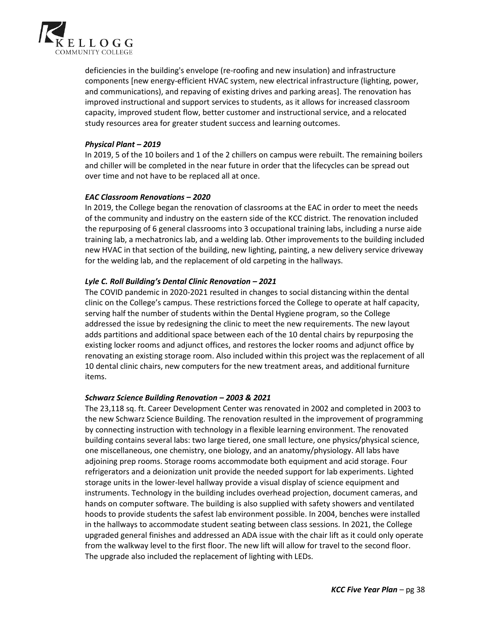

deficiencies in the building's envelope (re-roofing and new insulation) and infrastructure components [new energy-efficient HVAC system, new electrical infrastructure (lighting, power, and communications), and repaving of existing drives and parking areas]. The renovation has improved instructional and support services to students, as it allows for increased classroom capacity, improved student flow, better customer and instructional service, and a relocated study resources area for greater student success and learning outcomes.

### *Physical Plant – 2019*

In 2019, 5 of the 10 boilers and 1 of the 2 chillers on campus were rebuilt. The remaining boilers and chiller will be completed in the near future in order that the lifecycles can be spread out over time and not have to be replaced all at once.

#### *EAC Classroom Renovations – 2020*

In 2019, the College began the renovation of classrooms at the EAC in order to meet the needs of the community and industry on the eastern side of the KCC district. The renovation included the repurposing of 6 general classrooms into 3 occupational training labs, including a nurse aide training lab, a mechatronics lab, and a welding lab. Other improvements to the building included new HVAC in that section of the building, new lighting, painting, a new delivery service driveway for the welding lab, and the replacement of old carpeting in the hallways.

### *Lyle C. Roll Building's Dental Clinic Renovation – 2021*

The COVID pandemic in 2020-2021 resulted in changes to social distancing within the dental clinic on the College's campus. These restrictions forced the College to operate at half capacity, serving half the number of students within the Dental Hygiene program, so the College addressed the issue by redesigning the clinic to meet the new requirements. The new layout adds partitions and additional space between each of the 10 dental chairs by repurposing the existing locker rooms and adjunct offices, and restores the locker rooms and adjunct office by renovating an existing storage room. Also included within this project was the replacement of all 10 dental clinic chairs, new computers for the new treatment areas, and additional furniture items.

#### *Schwarz Science Building Renovation – 2003 & 2021*

The 23,118 sq. ft. Career Development Center was renovated in 2002 and completed in 2003 to the new Schwarz Science Building. The renovation resulted in the improvement of programming by connecting instruction with technology in a flexible learning environment. The renovated building contains several labs: two large tiered, one small lecture, one physics/physical science, one miscellaneous, one chemistry, one biology, and an anatomy/physiology. All labs have adjoining prep rooms. Storage rooms accommodate both equipment and acid storage. Four refrigerators and a deionization unit provide the needed support for lab experiments. Lighted storage units in the lower-level hallway provide a visual display of science equipment and instruments. Technology in the building includes overhead projection, document cameras, and hands on computer software. The building is also supplied with safety showers and ventilated hoods to provide students the safest lab environment possible. In 2004, benches were installed in the hallways to accommodate student seating between class sessions. In 2021, the College upgraded general finishes and addressed an ADA issue with the chair lift as it could only operate from the walkway level to the first floor. The new lift will allow for travel to the second floor. The upgrade also included the replacement of lighting with LEDs.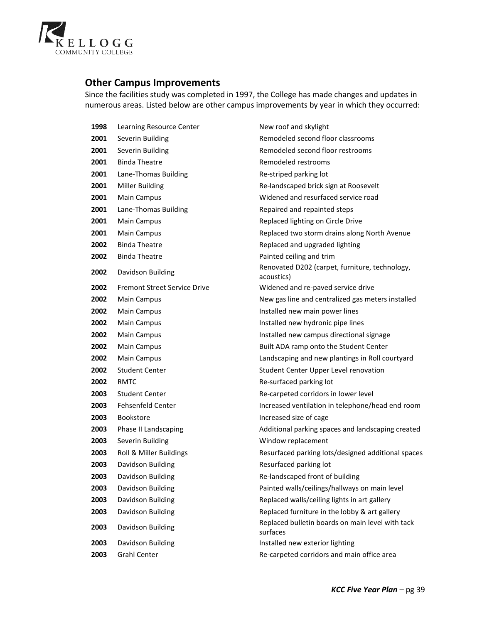

## **Other Campus Improvements**

Since the facilities study was completed in 1997, the College has made changes and updates in numerous areas. Listed below are other campus improvements by year in which they occurred:

| 1998 | Learning Resource Center            | New roof and skylight                                        |
|------|-------------------------------------|--------------------------------------------------------------|
| 2001 | Severin Building                    | Remodeled second floor classrooms                            |
| 2001 | Severin Building                    | Remodeled second floor restrooms                             |
| 2001 | <b>Binda Theatre</b>                | Remodeled restrooms                                          |
| 2001 | Lane-Thomas Building                | Re-striped parking lot                                       |
| 2001 | Miller Building                     | Re-landscaped brick sign at Roosevelt                        |
| 2001 | <b>Main Campus</b>                  | Widened and resurfaced service road                          |
| 2001 | Lane-Thomas Building                | Repaired and repainted steps                                 |
| 2001 | <b>Main Campus</b>                  | Replaced lighting on Circle Drive                            |
| 2001 | <b>Main Campus</b>                  | Replaced two storm drains along North Avenue                 |
| 2002 | <b>Binda Theatre</b>                | Replaced and upgraded lighting                               |
| 2002 | <b>Binda Theatre</b>                | Painted ceiling and trim                                     |
| 2002 | Davidson Building                   | Renovated D202 (carpet, furniture, technology,<br>acoustics) |
| 2002 | <b>Fremont Street Service Drive</b> | Widened and re-paved service drive                           |
| 2002 | <b>Main Campus</b>                  | New gas line and centralized gas meters installed            |
| 2002 | Main Campus                         | Installed new main power lines                               |
| 2002 | Main Campus                         | Installed new hydronic pipe lines                            |
| 2002 | <b>Main Campus</b>                  | Installed new campus directional signage                     |
| 2002 | <b>Main Campus</b>                  | Built ADA ramp onto the Student Center                       |
| 2002 | <b>Main Campus</b>                  | Landscaping and new plantings in Roll courtyard              |
| 2002 | <b>Student Center</b>               | Student Center Upper Level renovation                        |
| 2002 | <b>RMTC</b>                         | Re-surfaced parking lot                                      |
| 2003 | <b>Student Center</b>               | Re-carpeted corridors in lower level                         |
| 2003 | Fehsenfeld Center                   | Increased ventilation in telephone/head end room             |
| 2003 | Bookstore                           | Increased size of cage                                       |
| 2003 | Phase II Landscaping                | Additional parking spaces and landscaping created            |
| 2003 | Severin Building                    | Window replacement                                           |
| 2003 | Roll & Miller Buildings             | Resurfaced parking lots/designed additional spaces           |
| 2003 | Davidson Building                   | Resurfaced parking lot                                       |
| 2003 | Davidson Building                   | Re-landscaped front of building                              |
| 2003 | Davidson Building                   | Painted walls/ceilings/hallways on main level                |
| 2003 | Davidson Building                   | Replaced walls/ceiling lights in art gallery                 |
| 2003 | Davidson Building                   | Replaced furniture in the lobby & art gallery                |
| 2003 | Davidson Building                   | Replaced bulletin boards on main level with tack<br>surfaces |
| 2003 | Davidson Building                   | Installed new exterior lighting                              |
| 2003 | <b>Grahl Center</b>                 | Re-carpeted corridors and main office area                   |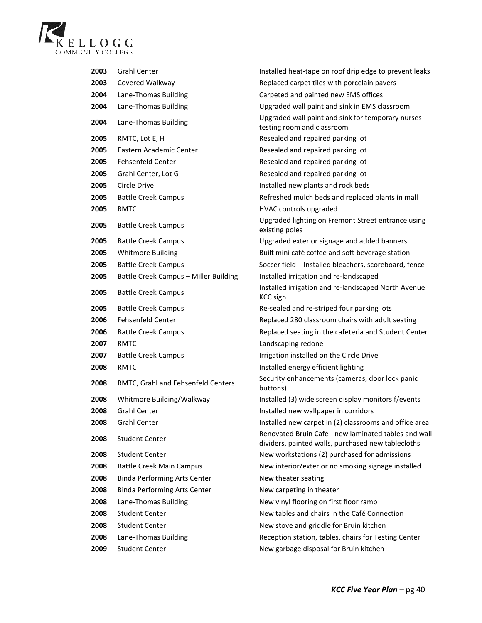

| 2003 | <b>Grahl Center</b>                   | Installed heat-tape on roof drip edge to prevent leaks                                                     |
|------|---------------------------------------|------------------------------------------------------------------------------------------------------------|
| 2003 | Covered Walkway                       | Replaced carpet tiles with porcelain pavers                                                                |
| 2004 | Lane-Thomas Building                  | Carpeted and painted new EMS offices                                                                       |
| 2004 | Lane-Thomas Building                  | Upgraded wall paint and sink in EMS classroom                                                              |
| 2004 | Lane-Thomas Building                  | Upgraded wall paint and sink for temporary nurses<br>testing room and classroom                            |
| 2005 | RMTC, Lot E, H                        | Resealed and repaired parking lot                                                                          |
| 2005 | Eastern Academic Center               | Resealed and repaired parking lot                                                                          |
| 2005 | <b>Fehsenfeld Center</b>              | Resealed and repaired parking lot                                                                          |
| 2005 | Grahl Center, Lot G                   | Resealed and repaired parking lot                                                                          |
| 2005 | Circle Drive                          | Installed new plants and rock beds                                                                         |
| 2005 | <b>Battle Creek Campus</b>            | Refreshed mulch beds and replaced plants in mall                                                           |
| 2005 | RMTC                                  | HVAC controls upgraded                                                                                     |
| 2005 | <b>Battle Creek Campus</b>            | Upgraded lighting on Fremont Street entrance using<br>existing poles                                       |
| 2005 | <b>Battle Creek Campus</b>            | Upgraded exterior signage and added banners                                                                |
| 2005 | <b>Whitmore Building</b>              | Built mini café coffee and soft beverage station                                                           |
| 2005 | <b>Battle Creek Campus</b>            | Soccer field - Installed bleachers, scoreboard, fence                                                      |
| 2005 | Battle Creek Campus - Miller Building | Installed irrigation and re-landscaped                                                                     |
| 2005 | <b>Battle Creek Campus</b>            | Installed irrigation and re-landscaped North Avenue<br><b>KCC</b> sign                                     |
| 2005 | <b>Battle Creek Campus</b>            | Re-sealed and re-striped four parking lots                                                                 |
| 2006 | <b>Fehsenfeld Center</b>              | Replaced 280 classroom chairs with adult seating                                                           |
| 2006 | <b>Battle Creek Campus</b>            | Replaced seating in the cafeteria and Student Center                                                       |
| 2007 | RMTC                                  | Landscaping redone                                                                                         |
| 2007 | <b>Battle Creek Campus</b>            | Irrigation installed on the Circle Drive                                                                   |
| 2008 | <b>RMTC</b>                           | Installed energy efficient lighting                                                                        |
| 2008 | RMTC, Grahl and Fehsenfeld Centers    | Security enhancements (cameras, door lock panic<br>buttons)                                                |
| 2008 | Whitmore Building/Walkway             | Installed (3) wide screen display monitors f/events                                                        |
| 2008 | <b>Grahl Center</b>                   | Installed new wallpaper in corridors                                                                       |
| 2008 | Grahl Center                          | Installed new carpet in (2) classrooms and office area                                                     |
| 2008 | <b>Student Center</b>                 | Renovated Bruin Café - new laminated tables and wall<br>dividers, painted walls, purchased new tablecloths |
| 2008 | <b>Student Center</b>                 | New workstations (2) purchased for admissions                                                              |
| 2008 | <b>Battle Creek Main Campus</b>       | New interior/exterior no smoking signage installed                                                         |
| 2008 | <b>Binda Performing Arts Center</b>   | New theater seating                                                                                        |
| 2008 | <b>Binda Performing Arts Center</b>   | New carpeting in theater                                                                                   |
| 2008 | Lane-Thomas Building                  | New vinyl flooring on first floor ramp                                                                     |
| 2008 | <b>Student Center</b>                 | New tables and chairs in the Café Connection                                                               |
| 2008 | <b>Student Center</b>                 | New stove and griddle for Bruin kitchen                                                                    |
| 2008 | Lane-Thomas Building                  | Reception station, tables, chairs for Testing Center                                                       |
| 2009 | <b>Student Center</b>                 | New garbage disposal for Bruin kitchen                                                                     |
|      |                                       |                                                                                                            |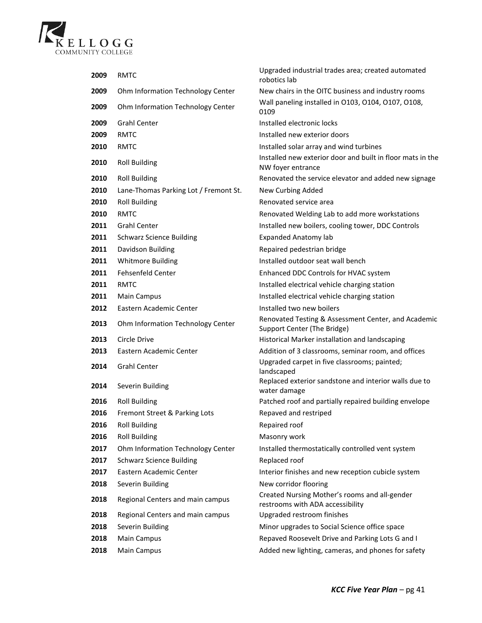

| 2009 | <b>RMTC</b>                           | Upgraded industrial trades area; created automated<br>robotics lab                 |
|------|---------------------------------------|------------------------------------------------------------------------------------|
| 2009 | Ohm Information Technology Center     | New chairs in the OITC business and industry rooms                                 |
| 2009 | Ohm Information Technology Center     | Wall paneling installed in O103, O104, O107, O108,<br>0109                         |
| 2009 | <b>Grahl Center</b>                   | Installed electronic locks                                                         |
| 2009 | <b>RMTC</b>                           | Installed new exterior doors                                                       |
| 2010 | <b>RMTC</b>                           | Installed solar array and wind turbines                                            |
| 2010 | <b>Roll Building</b>                  | Installed new exterior door and built in floor mats in the<br>NW foyer entrance    |
| 2010 | <b>Roll Building</b>                  | Renovated the service elevator and added new signage                               |
| 2010 | Lane-Thomas Parking Lot / Fremont St. | New Curbing Added                                                                  |
| 2010 | <b>Roll Building</b>                  | Renovated service area                                                             |
| 2010 | <b>RMTC</b>                           | Renovated Welding Lab to add more workstations                                     |
| 2011 | <b>Grahl Center</b>                   | Installed new boilers, cooling tower, DDC Controls                                 |
| 2011 | <b>Schwarz Science Building</b>       | <b>Expanded Anatomy lab</b>                                                        |
| 2011 | Davidson Building                     | Repaired pedestrian bridge                                                         |
| 2011 | <b>Whitmore Building</b>              | Installed outdoor seat wall bench                                                  |
| 2011 | <b>Fehsenfeld Center</b>              | Enhanced DDC Controls for HVAC system                                              |
| 2011 | <b>RMTC</b>                           | Installed electrical vehicle charging station                                      |
| 2011 | <b>Main Campus</b>                    | Installed electrical vehicle charging station                                      |
| 2012 | Eastern Academic Center               | Installed two new boilers                                                          |
| 2013 | Ohm Information Technology Center     | Renovated Testing & Assessment Center, and Academic<br>Support Center (The Bridge) |
| 2013 | Circle Drive                          | Historical Marker installation and landscaping                                     |
| 2013 | Eastern Academic Center               | Addition of 3 classrooms, seminar room, and offices                                |
| 2014 | <b>Grahl Center</b>                   | Upgraded carpet in five classrooms; painted;<br>landscaped                         |
| 2014 | Severin Building                      | Replaced exterior sandstone and interior walls due to<br>water damage              |
| 2016 | <b>Roll Building</b>                  | Patched roof and partially repaired building envelope                              |
| 2016 | Fremont Street & Parking Lots         | Repaved and restriped                                                              |
| 2016 | <b>Roll Building</b>                  | Repaired roof                                                                      |
| 2016 | <b>Roll Building</b>                  | Masonry work                                                                       |
| 2017 | Ohm Information Technology Center     | Installed thermostatically controlled vent system                                  |
| 2017 | <b>Schwarz Science Building</b>       | Replaced roof                                                                      |
| 2017 | Eastern Academic Center               | Interior finishes and new reception cubicle system                                 |
| 2018 | Severin Building                      | New corridor flooring                                                              |
| 2018 | Regional Centers and main campus      | Created Nursing Mother's rooms and all-gender<br>restrooms with ADA accessibility  |
| 2018 | Regional Centers and main campus      | Upgraded restroom finishes                                                         |
| 2018 | Severin Building                      | Minor upgrades to Social Science office space                                      |
| 2018 | <b>Main Campus</b>                    | Repaved Roosevelt Drive and Parking Lots G and I                                   |
| 2018 | Main Campus                           | Added new lighting, cameras, and phones for safety                                 |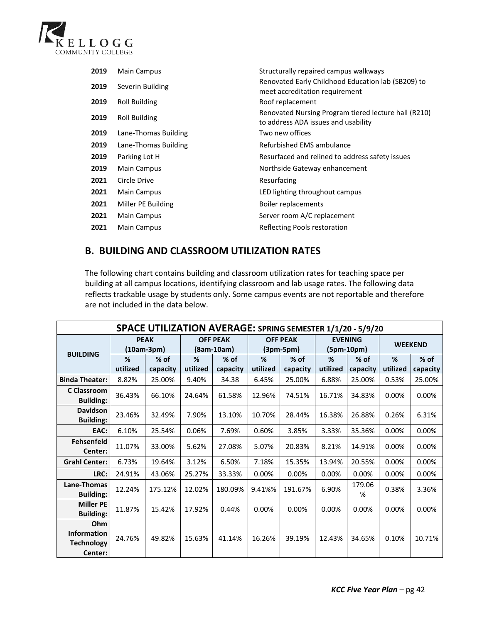

| 2019 | <b>Main Campus</b>   | Structurally repaired campus walkways                                                       |
|------|----------------------|---------------------------------------------------------------------------------------------|
| 2019 | Severin Building     | Renovated Early Childhood Education lab (SB209) to<br>meet accreditation requirement        |
| 2019 | Roll Building        | Roof replacement                                                                            |
| 2019 | Roll Building        | Renovated Nursing Program tiered lecture hall (R210)<br>to address ADA issues and usability |
| 2019 | Lane-Thomas Building | Two new offices                                                                             |
| 2019 | Lane-Thomas Building | Refurbished EMS ambulance                                                                   |
| 2019 | Parking Lot H        | Resurfaced and relined to address safety issues                                             |
| 2019 | Main Campus          | Northside Gateway enhancement                                                               |
| 2021 | Circle Drive         | Resurfacing                                                                                 |
| 2021 | Main Campus          | LED lighting throughout campus                                                              |
| 2021 | Miller PE Building   | Boiler replacements                                                                         |
| 2021 | <b>Main Campus</b>   | Server room A/C replacement                                                                 |
| 2021 | Main Campus          | Reflecting Pools restoration                                                                |

## **B. BUILDING AND CLASSROOM UTILIZATION RATES**

The following chart contains building and classroom utilization rates for teaching space per building at all campus locations, identifying classroom and lab usage rates. The following data reflects trackable usage by students only. Some campus events are not reportable and therefore are not included in the data below.

| SPACE UTILIZATION AVERAGE: SPRING SEMESTER 1/1/20 - 5/9/20 |                             |                    |                                 |                    |                                |                    |                                |                    |                |                    |
|------------------------------------------------------------|-----------------------------|--------------------|---------------------------------|--------------------|--------------------------------|--------------------|--------------------------------|--------------------|----------------|--------------------|
| <b>BUILDING</b>                                            | <b>PEAK</b><br>$(10am-3pm)$ |                    | <b>OFF PEAK</b><br>$(8am-10am)$ |                    | <b>OFF PEAK</b><br>$(3pm-5pm)$ |                    | <b>EVENING</b><br>$(5pm-10pm)$ |                    | <b>WEEKEND</b> |                    |
|                                                            | %<br>utilized               | $%$ of<br>capacity | %<br>utilized                   | $%$ of<br>capacity | %<br>utilized                  | $%$ of<br>capacity | %<br>utilized                  | $%$ of<br>capacity | %<br>utilized  | $%$ of<br>capacity |
| <b>Binda Theater:</b>                                      | 8.82%                       | 25.00%             | 9.40%                           | 34.38              | 6.45%                          | 25.00%             | 6.88%                          | 25.00%             | 0.53%          | 25.00%             |
| C Classroom<br><b>Building:</b>                            | 36.43%                      | 66.10%             | 24.64%                          | 61.58%             | 12.96%                         | 74.51%             | 16.71%                         | 34.83%             | 0.00%          | 0.00%              |
| <b>Davidson</b><br><b>Building:</b>                        | 23.46%                      | 32.49%             | 7.90%                           | 13.10%             | 10.70%                         | 28.44%             | 16.38%                         | 26.88%             | 0.26%          | 6.31%              |
| EAC:                                                       | 6.10%                       | 25.54%             | 0.06%                           | 7.69%              | 0.60%                          | 3.85%              | 3.33%                          | 35.36%             | 0.00%          | 0.00%              |
| <b>Fehsenfeld</b><br>Center:                               | 11.07%                      | 33.00%             | 5.62%                           | 27.08%             | 5.07%                          | 20.83%             | 8.21%                          | 14.91%             | 0.00%          | 0.00%              |
| <b>Grahl Center:</b>                                       | 6.73%                       | 19.64%             | 3.12%                           | 6.50%              | 7.18%                          | 15.35%             | 13.94%                         | 20.55%             | 0.00%          | 0.00%              |
| LRC:                                                       | 24.91%                      | 43.06%             | 25.27%                          | 33.33%             | 0.00%                          | 0.00%              | 0.00%                          | 0.00%              | 0.00%          | 0.00%              |
| Lane-Thomas<br><b>Building:</b>                            | 12.24%                      | 175.12%            | 12.02%                          | 180.09%            | 9.41%%                         | 191.67%            | 6.90%                          | 179.06<br>%        | 0.38%          | 3.36%              |
| <b>Miller PE</b><br><b>Building:</b>                       | 11.87%                      | 15.42%             | 17.92%                          | 0.44%              | 0.00%                          | $0.00\%$           | 0.00%                          | 0.00%              | 0.00%          | 0.00%              |
| Ohm<br><b>Information</b><br><b>Technology</b><br>Center:  | 24.76%                      | 49.82%             | 15.63%                          | 41.14%             | 16.26%                         | 39.19%             | 12.43%                         | 34.65%             | 0.10%          | 10.71%             |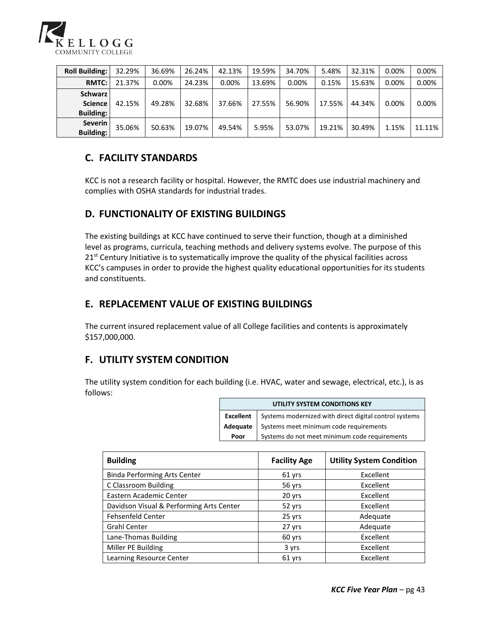

| <b>Roll Building:</b>                                | 32.29% | 36.69% | 26.24% | 42.13%   | 19.59% | 34.70% | 5.48%  | 32.31% | 0.00% | 0.00%  |
|------------------------------------------------------|--------|--------|--------|----------|--------|--------|--------|--------|-------|--------|
| <b>RMTC:</b>                                         | 21.37% | 0.00%  | 24.23% | $0.00\%$ | 13.69% | 0.00%  | 0.15%  | 15.63% | 0.00% | 0.00%  |
| <b>Schwarz</b><br><b>Science</b><br><b>Building:</b> | 42.15% | 49.28% | 32.68% | 37.66%   | 27.55% | 56.90% | 17.55% | 44.34% | 0.00% | 0.00%  |
| <b>Severin</b><br><b>Building:</b>                   | 35.06% | 50.63% | 19.07% | 49.54%   | 5.95%  | 53.07% | 19.21% | 30.49% | 1.15% | 11.11% |

## **C. FACILITY STANDARDS**

KCC is not a research facility or hospital. However, the RMTC does use industrial machinery and complies with OSHA standards for industrial trades.

## **D. FUNCTIONALITY OF EXISTING BUILDINGS**

The existing buildings at KCC have continued to serve their function, though at a diminished level as programs, curricula, teaching methods and delivery systems evolve. The purpose of this  $21<sup>st</sup>$  Century Initiative is to systematically improve the quality of the physical facilities across KCC's campuses in order to provide the highest quality educational opportunities for its students and constituents.

## **E. REPLACEMENT VALUE OF EXISTING BUILDINGS**

The current insured replacement value of all College facilities and contents is approximately \$157,000,000.

## **F. UTILITY SYSTEM CONDITION**

The utility system condition for each building (i.e. HVAC, water and sewage, electrical, etc.), is as follows:

| UTILITY SYSTEM CONDITIONS KEY |                                                                                                                                                                           |  |  |  |  |  |
|-------------------------------|---------------------------------------------------------------------------------------------------------------------------------------------------------------------------|--|--|--|--|--|
|                               | Excellent Systems modernized with direct digital control systems<br>Adequate Systems meet minimum code requirements<br>Poor Systems do not meet minimum code requirements |  |  |  |  |  |
|                               |                                                                                                                                                                           |  |  |  |  |  |
|                               |                                                                                                                                                                           |  |  |  |  |  |

| <b>Building</b>                          | <b>Facility Age</b> | <b>Utility System Condition</b> |
|------------------------------------------|---------------------|---------------------------------|
| <b>Binda Performing Arts Center</b>      | 61 yrs              | Excellent                       |
| C Classroom Building                     | 56 yrs              | Excellent                       |
| Eastern Academic Center                  | 20 yrs              | Excellent                       |
| Davidson Visual & Performing Arts Center | 52 yrs              | Excellent                       |
| <b>Fehsenfeld Center</b>                 | 25 yrs              | Adequate                        |
| <b>Grahl Center</b>                      | 27 yrs              | Adequate                        |
| Lane-Thomas Building                     | 60 yrs              | Excellent                       |
| Miller PE Building                       | 3 yrs               | Excellent                       |
| Learning Resource Center                 | 61 yrs              | Excellent                       |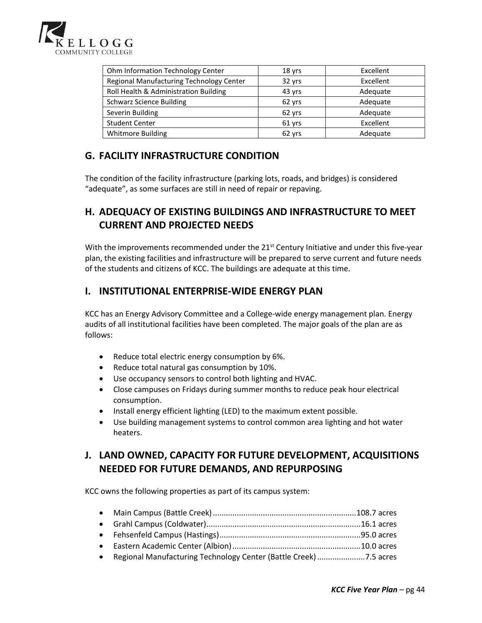

| Ohm Information Technology Center        | 18 yrs | Excellent |
|------------------------------------------|--------|-----------|
| Regional Manufacturing Technology Center | 32 yrs | Excellent |
| Roll Health & Administration Building    | 43 yrs | Adequate  |
| <b>Schwarz Science Building</b>          | 62 yrs | Adequate  |
| Severin Building                         | 62 yrs | Adequate  |
| <b>Student Center</b>                    | 61 yrs | Excellent |
| <b>Whitmore Building</b>                 | 62 yrs | Adequate  |

## **G. FACILITY INFRASTRUCTURE CONDITION**

The condition of the facility infrastructure (parking lots, roads, and bridges) is considered "adequate", as some surfaces are still in need of repair or repaving.

## **H. ADEQUACY OF EXISTING BUILDINGS AND INFRASTRUCTURE TO MEET CURRENT AND PROJECTED NEEDS**

With the improvements recommended under the 21<sup>st</sup> Century Initiative and under this five-year plan, the existing facilities and infrastructure will be prepared to serve current and future needs of the students and citizens of KCC. The buildings are adequate at this time.

## **I. INSTITUTIONAL ENTERPRISE-WIDE ENERGY PLAN**

KCC has an Energy Advisory Committee and a College-wide energy management plan. Energy audits of all institutional facilities have been completed. The major goals of the plan are as follows:

- Reduce total electric energy consumption by 6%.
- Reduce total natural gas consumption by 10%.
- Use occupancy sensors to control both lighting and HVAC.
- Close campuses on Fridays during summer months to reduce peak hour electrical consumption.
- Install energy efficient lighting (LED) to the maximum extent possible.
- Use building management systems to control common area lighting and hot water heaters.

## **J. LAND OWNED, CAPACITY FOR FUTURE DEVELOPMENT, ACQUISITIONS NEEDED FOR FUTURE DEMANDS, AND REPURPOSING**

KCC owns the following properties as part of its campus system:

| • Regional Manufacturing Technology Center (Battle Creek) 7.5 acres |  |
|---------------------------------------------------------------------|--|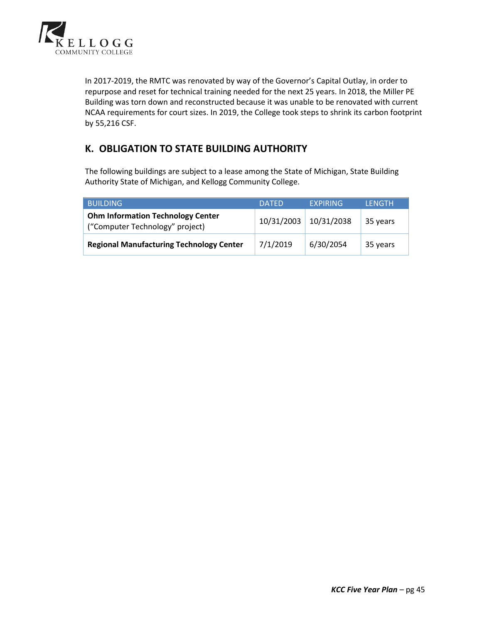

In 2017-2019, the RMTC was renovated by way of the Governor's Capital Outlay, in order to repurpose and reset for technical training needed for the next 25 years. In 2018, the Miller PE Building was torn down and reconstructed because it was unable to be renovated with current NCAA requirements for court sizes. In 2019, the College took steps to shrink its carbon footprint by 55,216 CSF.

## **K. OBLIGATION TO STATE BUILDING AUTHORITY**

The following buildings are subject to a lease among the State of Michigan, State Building Authority State of Michigan, and Kellogg Community College.

| <b>BUILDING</b>                                                             | <b>DATED</b> | <b>EXPIRING</b> | <b>LENGTH</b> |
|-----------------------------------------------------------------------------|--------------|-----------------|---------------|
| <b>Ohm Information Technology Center</b><br>("Computer Technology" project) | 10/31/2003   | 10/31/2038      | 35 years      |
| <b>Regional Manufacturing Technology Center</b>                             | 7/1/2019     | 6/30/2054       | 35 years      |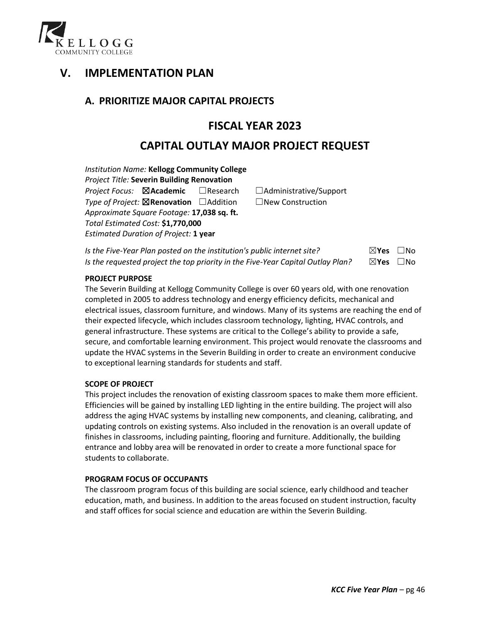

# **V. IMPLEMENTATION PLAN**

## **A. PRIORITIZE MAJOR CAPITAL PROJECTS**

## **FISCAL YEAR 2023**

## **CAPITAL OUTLAY MAJOR PROJECT REQUEST**

*Institution Name:* **Kellogg Community College** *Project Title:* **Severin Building Renovation** *Project Focus:* ☒**Academic** ☐Research ☐Administrative/Support *Type of Project:* ☒**Renovation** ☐Addition ☐New Construction *Approximate Square Footage:* **17,038 sq. ft.** *Total Estimated Cost:* **\$1,770,000** *Estimated Duration of Project:* **1 year**

| Is the Five-Year Plan posted on the institution's public internet site?         | $\boxtimes$ Yes $\Box$ No |  |
|---------------------------------------------------------------------------------|---------------------------|--|
| Is the requested project the top priority in the Five-Year Capital Outlay Plan? | $\boxtimes$ Yes $\Box$ No |  |

#### **PROJECT PURPOSE**

The Severin Building at Kellogg Community College is over 60 years old, with one renovation completed in 2005 to address technology and energy efficiency deficits, mechanical and electrical issues, classroom furniture, and windows. Many of its systems are reaching the end of their expected lifecycle, which includes classroom technology, lighting, HVAC controls, and general infrastructure. These systems are critical to the College's ability to provide a safe, secure, and comfortable learning environment. This project would renovate the classrooms and update the HVAC systems in the Severin Building in order to create an environment conducive to exceptional learning standards for students and staff.

#### **SCOPE OF PROJECT**

This project includes the renovation of existing classroom spaces to make them more efficient. Efficiencies will be gained by installing LED lighting in the entire building. The project will also address the aging HVAC systems by installing new components, and cleaning, calibrating, and updating controls on existing systems. Also included in the renovation is an overall update of finishes in classrooms, including painting, flooring and furniture. Additionally, the building entrance and lobby area will be renovated in order to create a more functional space for students to collaborate.

#### **PROGRAM FOCUS OF OCCUPANTS**

The classroom program focus of this building are social science, early childhood and teacher education, math, and business. In addition to the areas focused on student instruction, faculty and staff offices for social science and education are within the Severin Building.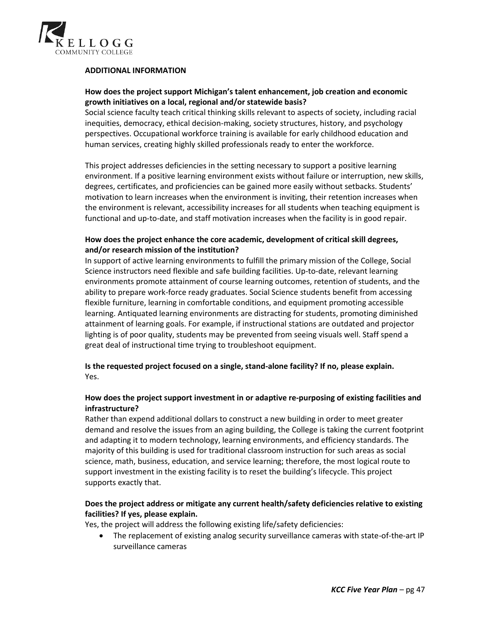

#### **ADDITIONAL INFORMATION**

## **How does the project support Michigan's talent enhancement, job creation and economic growth initiatives on a local, regional and/or statewide basis?**

Social science faculty teach critical thinking skills relevant to aspects of society, including racial inequities, democracy, ethical decision-making, society structures, history, and psychology perspectives. Occupational workforce training is available for early childhood education and human services, creating highly skilled professionals ready to enter the workforce.

This project addresses deficiencies in the setting necessary to support a positive learning environment. If a positive learning environment exists without failure or interruption, new skills, degrees, certificates, and proficiencies can be gained more easily without setbacks. Students' motivation to learn increases when the environment is inviting, their retention increases when the environment is relevant, accessibility increases for all students when teaching equipment is functional and up-to-date, and staff motivation increases when the facility is in good repair.

## **How does the project enhance the core academic, development of critical skill degrees, and/or research mission of the institution?**

In support of active learning environments to fulfill the primary mission of the College, Social Science instructors need flexible and safe building facilities. Up-to-date, relevant learning environments promote attainment of course learning outcomes, retention of students, and the ability to prepare work-force ready graduates. Social Science students benefit from accessing flexible furniture, learning in comfortable conditions, and equipment promoting accessible learning. Antiquated learning environments are distracting for students, promoting diminished attainment of learning goals. For example, if instructional stations are outdated and projector lighting is of poor quality, students may be prevented from seeing visuals well. Staff spend a great deal of instructional time trying to troubleshoot equipment.

**Is the requested project focused on a single, stand-alone facility? If no, please explain.** Yes.

## **How does the project support investment in or adaptive re-purposing of existing facilities and infrastructure?**

Rather than expend additional dollars to construct a new building in order to meet greater demand and resolve the issues from an aging building, the College is taking the current footprint and adapting it to modern technology, learning environments, and efficiency standards. The majority of this building is used for traditional classroom instruction for such areas as social science, math, business, education, and service learning; therefore, the most logical route to support investment in the existing facility is to reset the building's lifecycle. This project supports exactly that.

## **Does the project address or mitigate any current health/safety deficiencies relative to existing facilities? If yes, please explain.**

Yes, the project will address the following existing life/safety deficiencies:

• The replacement of existing analog security surveillance cameras with state-of-the-art IP surveillance cameras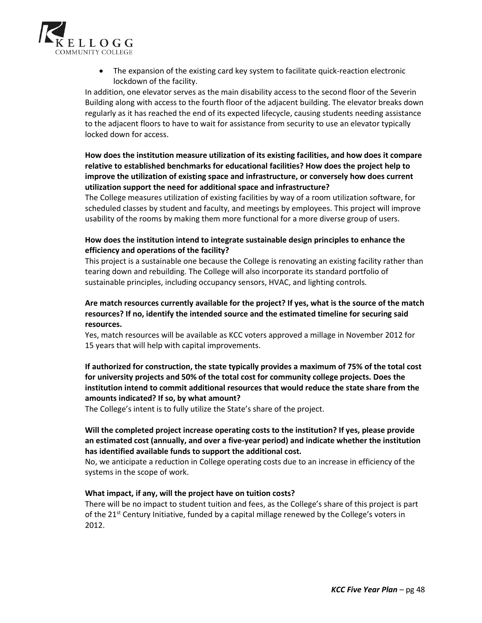

• The expansion of the existing card key system to facilitate quick-reaction electronic lockdown of the facility.

In addition, one elevator serves as the main disability access to the second floor of the Severin Building along with access to the fourth floor of the adjacent building. The elevator breaks down regularly as it has reached the end of its expected lifecycle, causing students needing assistance to the adjacent floors to have to wait for assistance from security to use an elevator typically locked down for access.

## **How does the institution measure utilization of its existing facilities, and how does it compare relative to established benchmarks for educational facilities? How does the project help to improve the utilization of existing space and infrastructure, or conversely how does current utilization support the need for additional space and infrastructure?**

The College measures utilization of existing facilities by way of a room utilization software, for scheduled classes by student and faculty, and meetings by employees. This project will improve usability of the rooms by making them more functional for a more diverse group of users.

## **How does the institution intend to integrate sustainable design principles to enhance the efficiency and operations of the facility?**

This project is a sustainable one because the College is renovating an existing facility rather than tearing down and rebuilding. The College will also incorporate its standard portfolio of sustainable principles, including occupancy sensors, HVAC, and lighting controls.

## **Are match resources currently available for the project? If yes, what is the source of the match resources? If no, identify the intended source and the estimated timeline for securing said resources.**

Yes, match resources will be available as KCC voters approved a millage in November 2012 for 15 years that will help with capital improvements.

## **If authorized for construction, the state typically provides a maximum of 75% of the total cost for university projects and 50% of the total cost for community college projects. Does the institution intend to commit additional resources that would reduce the state share from the amounts indicated? If so, by what amount?**

The College's intent is to fully utilize the State's share of the project.

### **Will the completed project increase operating costs to the institution? If yes, please provide an estimated cost (annually, and over a five-year period) and indicate whether the institution has identified available funds to support the additional cost.**

No, we anticipate a reduction in College operating costs due to an increase in efficiency of the systems in the scope of work.

### **What impact, if any, will the project have on tuition costs?**

There will be no impact to student tuition and fees, as the College's share of this project is part of the 21<sup>st</sup> Century Initiative, funded by a capital millage renewed by the College's voters in 2012.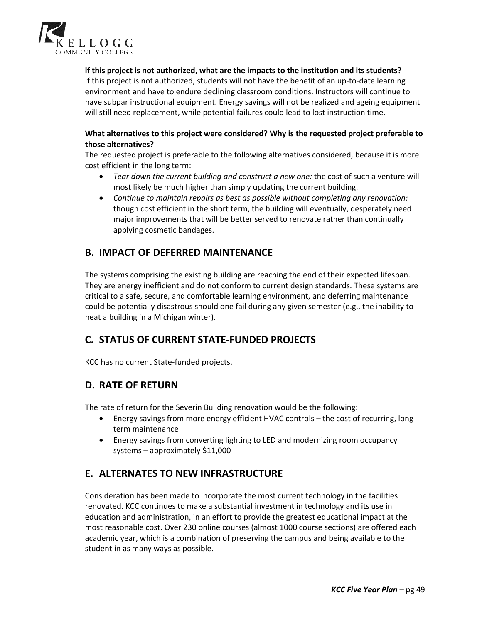

## **lf this project is not authorized, what are the impacts to the institution and its students?**

If this project is not authorized, students will not have the benefit of an up-to-date learning environment and have to endure declining classroom conditions. Instructors will continue to have subpar instructional equipment. Energy savings will not be realized and ageing equipment will still need replacement, while potential failures could lead to lost instruction time.

## **What alternatives to this project were considered? Why is the requested project preferable to those alternatives?**

The requested project is preferable to the following alternatives considered, because it is more cost efficient in the long term:

- *Tear down the current building and construct a new one:* the cost of such a venture will most likely be much higher than simply updating the current building.
- *Continue to maintain repairs as best as possible without completing any renovation:* though cost efficient in the short term, the building will eventually, desperately need major improvements that will be better served to renovate rather than continually applying cosmetic bandages.

## **B. IMPACT OF DEFERRED MAINTENANCE**

The systems comprising the existing building are reaching the end of their expected lifespan. They are energy inefficient and do not conform to current design standards. These systems are critical to a safe, secure, and comfortable learning environment, and deferring maintenance could be potentially disastrous should one fail during any given semester (e.g., the inability to heat a building in a Michigan winter).

## **C. STATUS OF CURRENT STATE-FUNDED PROJECTS**

KCC has no current State-funded projects.

## **D. RATE OF RETURN**

The rate of return for the Severin Building renovation would be the following:

- Energy savings from more energy efficient HVAC controls the cost of recurring, longterm maintenance
- Energy savings from converting lighting to LED and modernizing room occupancy systems – approximately \$11,000

## **E. ALTERNATES TO NEW INFRASTRUCTURE**

Consideration has been made to incorporate the most current technology in the facilities renovated. KCC continues to make a substantial investment in technology and its use in education and administration, in an effort to provide the greatest educational impact at the most reasonable cost. Over 230 online courses (almost 1000 course sections) are offered each academic year, which is a combination of preserving the campus and being available to the student in as many ways as possible.